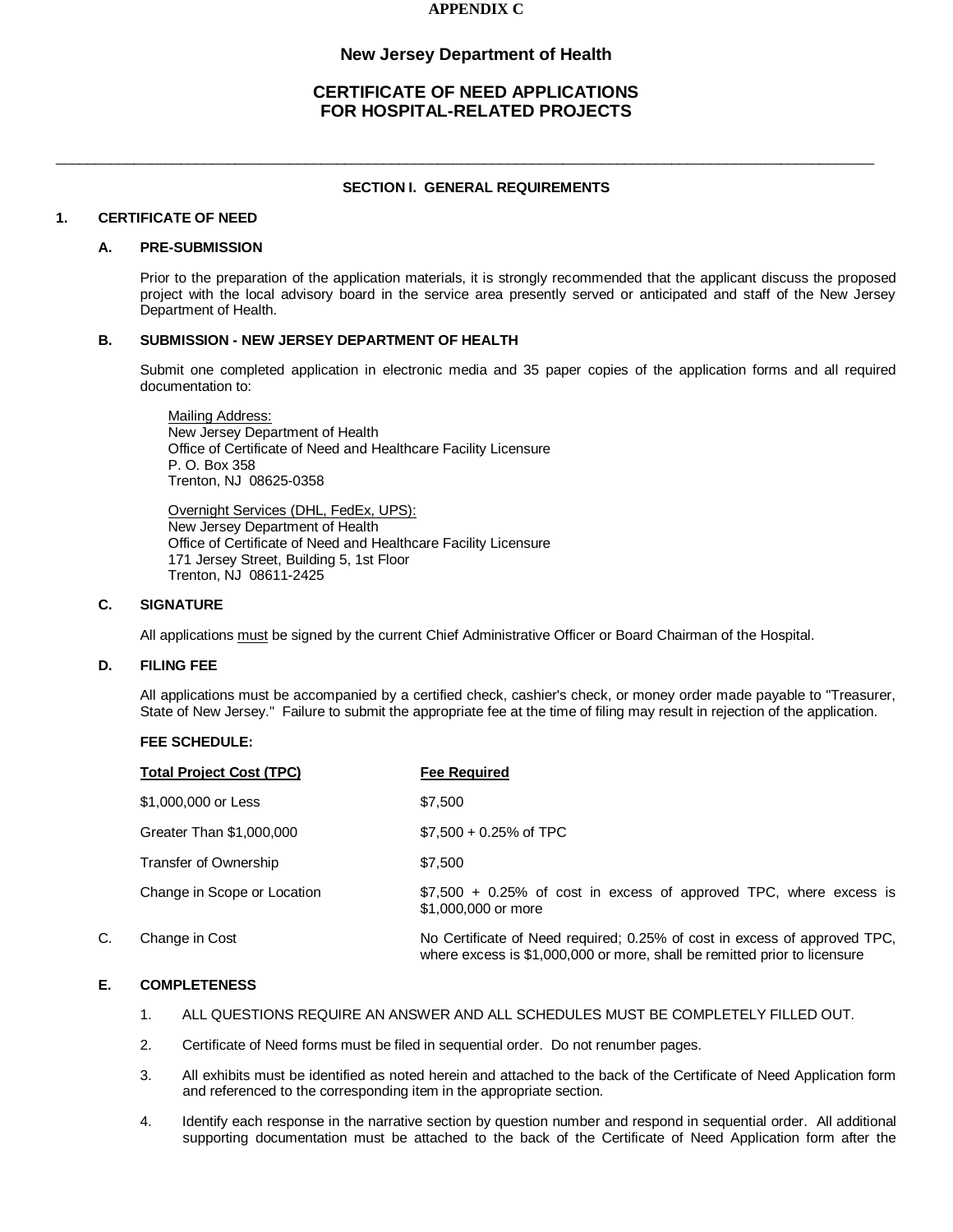### **APPENDIX C**

## **New Jersey Department of Health**

# **CERTIFICATE OF NEED APPLICATIONS FOR HOSPITAL-RELATED PROJECTS**

### **SECTION I. GENERAL REQUIREMENTS**

\_\_\_\_\_\_\_\_\_\_\_\_\_\_\_\_\_\_\_\_\_\_\_\_\_\_\_\_\_\_\_\_\_\_\_\_\_\_\_\_\_\_\_\_\_\_\_\_\_\_\_\_\_\_\_\_\_\_\_\_\_\_\_\_\_\_\_\_\_\_\_\_\_\_\_\_\_\_\_\_\_\_\_\_\_\_\_\_\_\_\_\_\_\_\_\_\_\_\_\_\_\_\_\_\_

#### **1. CERTIFICATE OF NEED**

#### **A. PRE-SUBMISSION**

Prior to the preparation of the application materials, it is strongly recommended that the applicant discuss the proposed project with the local advisory board in the service area presently served or anticipated and staff of the New Jersey Department of Health.

#### **B. SUBMISSION - NEW JERSEY DEPARTMENT OF HEALTH**

Submit one completed application in electronic media and 35 paper copies of the application forms and all required documentation to:

Mailing Address: New Jersey Department of Health Office of Certificate of Need and Healthcare Facility Licensure P. O. Box 358 Trenton, NJ 08625-0358

Overnight Services (DHL, FedEx, UPS): New Jersey Department of Health Office of Certificate of Need and Healthcare Facility Licensure 171 Jersey Street, Building 5, 1st Floor Trenton, NJ 08611-2425

#### **C. SIGNATURE**

All applications must be signed by the current Chief Administrative Officer or Board Chairman of the Hospital.

### **D. FILING FEE**

All applications must be accompanied by a certified check, cashier's check, or money order made payable to "Treasurer, State of New Jersey." Failure to submit the appropriate fee at the time of filing may result in rejection of the application.

### **FEE SCHEDULE:**

|    | <b>Total Project Cost (TPC)</b> | <b>Fee Required</b>                                                                                                                                    |
|----|---------------------------------|--------------------------------------------------------------------------------------------------------------------------------------------------------|
|    | \$1,000,000 or Less             | \$7,500                                                                                                                                                |
|    | Greater Than \$1,000,000        | $$7,500 + 0.25\%$ of TPC                                                                                                                               |
|    | Transfer of Ownership           | \$7.500                                                                                                                                                |
|    | Change in Scope or Location     | \$7,500 + 0.25% of cost in excess of approved TPC, where excess is<br>\$1,000,000 or more                                                              |
| C. | Change in Cost                  | No Certificate of Need required; 0.25% of cost in excess of approved TPC,<br>where excess is \$1,000,000 or more, shall be remitted prior to licensure |

### **E. COMPLETENESS**

- 1. ALL QUESTIONS REQUIRE AN ANSWER AND ALL SCHEDULES MUST BE COMPLETELY FILLED OUT.
- 2. Certificate of Need forms must be filed in sequential order. Do not renumber pages.
- 3. All exhibits must be identified as noted herein and attached to the back of the Certificate of Need Application form and referenced to the corresponding item in the appropriate section.
- 4. Identify each response in the narrative section by question number and respond in sequential order. All additional supporting documentation must be attached to the back of the Certificate of Need Application form after the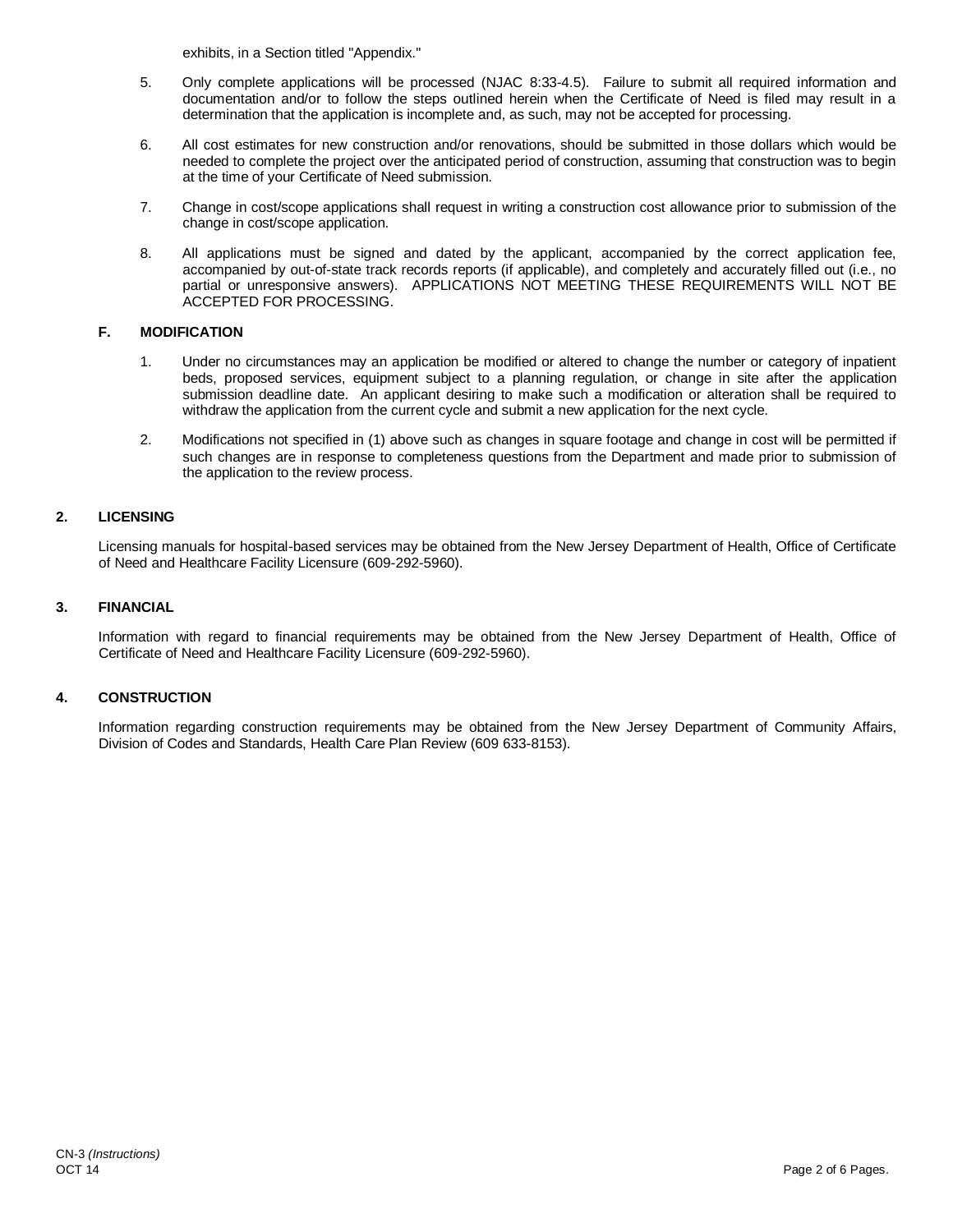exhibits, in a Section titled "Appendix."

- 5. Only complete applications will be processed (NJAC 8:33-4.5). Failure to submit all required information and documentation and/or to follow the steps outlined herein when the Certificate of Need is filed may result in a determination that the application is incomplete and, as such, may not be accepted for processing.
- 6. All cost estimates for new construction and/or renovations, should be submitted in those dollars which would be needed to complete the project over the anticipated period of construction, assuming that construction was to begin at the time of your Certificate of Need submission.
- 7. Change in cost/scope applications shall request in writing a construction cost allowance prior to submission of the change in cost/scope application.
- 8. All applications must be signed and dated by the applicant, accompanied by the correct application fee, accompanied by out-of-state track records reports (if applicable), and completely and accurately filled out (i.e., no partial or unresponsive answers). APPLICATIONS NOT MEETING THESE REQUIREMENTS WILL NOT BE ACCEPTED FOR PROCESSING.

### **F. MODIFICATION**

- 1. Under no circumstances may an application be modified or altered to change the number or category of inpatient beds, proposed services, equipment subject to a planning regulation, or change in site after the application submission deadline date. An applicant desiring to make such a modification or alteration shall be required to withdraw the application from the current cycle and submit a new application for the next cycle.
- 2. Modifications not specified in (1) above such as changes in square footage and change in cost will be permitted if such changes are in response to completeness questions from the Department and made prior to submission of the application to the review process.

### **2. LICENSING**

Licensing manuals for hospital-based services may be obtained from the New Jersey Department of Health, Office of Certificate of Need and Healthcare Facility Licensure (609-292-5960).

### **3. FINANCIAL**

Information with regard to financial requirements may be obtained from the New Jersey Department of Health, Office of Certificate of Need and Healthcare Facility Licensure (609-292-5960).

#### **4. CONSTRUCTION**

Information regarding construction requirements may be obtained from the New Jersey Department of Community Affairs, Division of Codes and Standards, Health Care Plan Review (609 633-8153).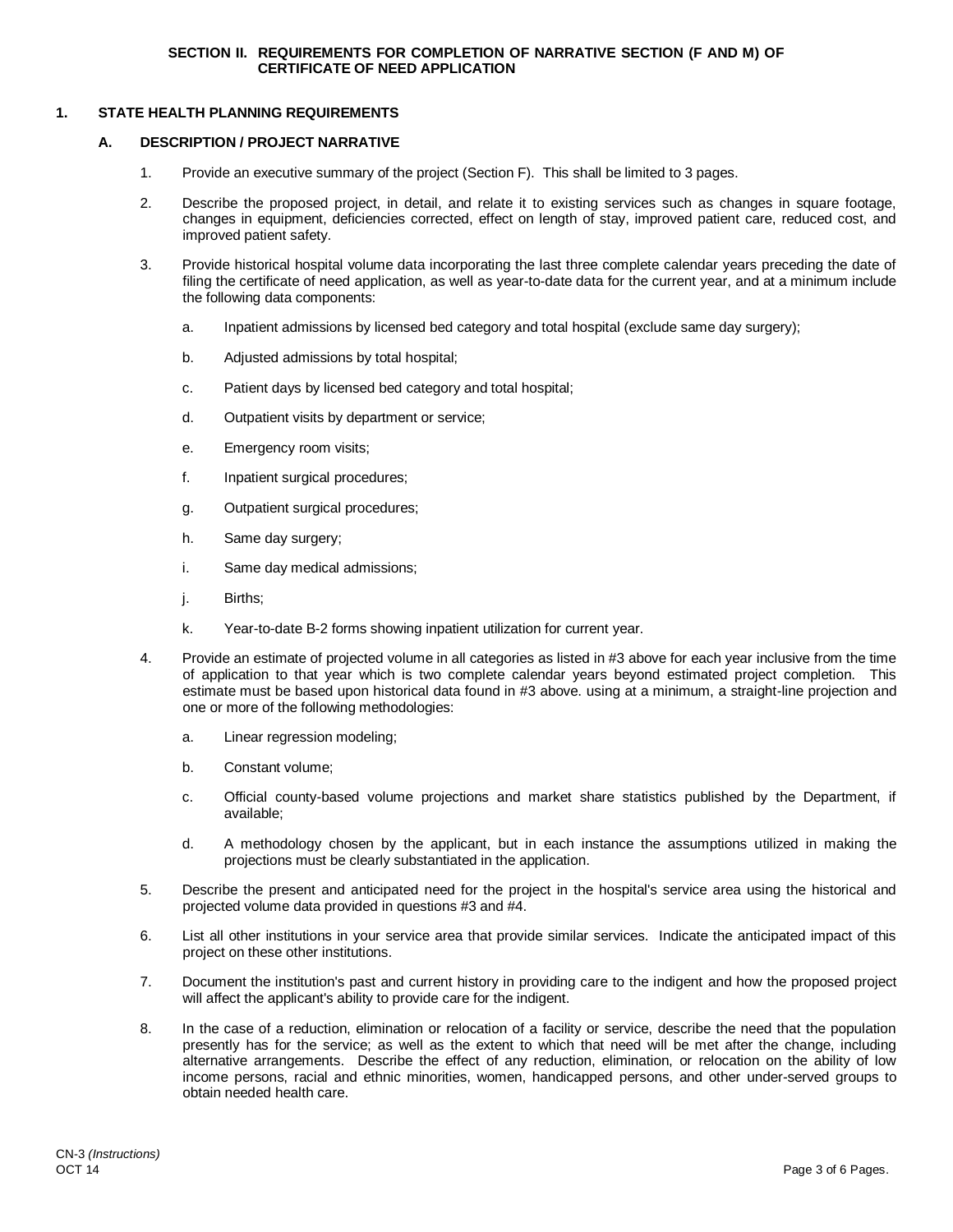### **1. STATE HEALTH PLANNING REQUIREMENTS**

#### **A. DESCRIPTION / PROJECT NARRATIVE**

- 1. Provide an executive summary of the project (Section F). This shall be limited to 3 pages.
- 2. Describe the proposed project, in detail, and relate it to existing services such as changes in square footage, changes in equipment, deficiencies corrected, effect on length of stay, improved patient care, reduced cost, and improved patient safety.
- 3. Provide historical hospital volume data incorporating the last three complete calendar years preceding the date of filing the certificate of need application, as well as year-to-date data for the current year, and at a minimum include the following data components:
	- a. Inpatient admissions by licensed bed category and total hospital (exclude same day surgery);
	- b. Adjusted admissions by total hospital;
	- c. Patient days by licensed bed category and total hospital;
	- d. Outpatient visits by department or service;
	- e. Emergency room visits;
	- f. Inpatient surgical procedures;
	- g. Outpatient surgical procedures;
	- h. Same day surgery;
	- i. Same day medical admissions;
	- j. Births;
	- k. Year-to-date B-2 forms showing inpatient utilization for current year.
- 4. Provide an estimate of projected volume in all categories as listed in #3 above for each year inclusive from the time of application to that year which is two complete calendar years beyond estimated project completion. This estimate must be based upon historical data found in #3 above. using at a minimum, a straight-line projection and one or more of the following methodologies:
	- a. Linear regression modeling;
	- b. Constant volume;
	- c. Official county-based volume projections and market share statistics published by the Department, if available;
	- d. A methodology chosen by the applicant, but in each instance the assumptions utilized in making the projections must be clearly substantiated in the application.
- 5. Describe the present and anticipated need for the project in the hospital's service area using the historical and projected volume data provided in questions #3 and #4.
- 6. List all other institutions in your service area that provide similar services. Indicate the anticipated impact of this project on these other institutions.
- 7. Document the institution's past and current history in providing care to the indigent and how the proposed project will affect the applicant's ability to provide care for the indigent.
- 8. In the case of a reduction, elimination or relocation of a facility or service, describe the need that the population presently has for the service; as well as the extent to which that need will be met after the change, including alternative arrangements. Describe the effect of any reduction, elimination, or relocation on the ability of low income persons, racial and ethnic minorities, women, handicapped persons, and other under-served groups to obtain needed health care.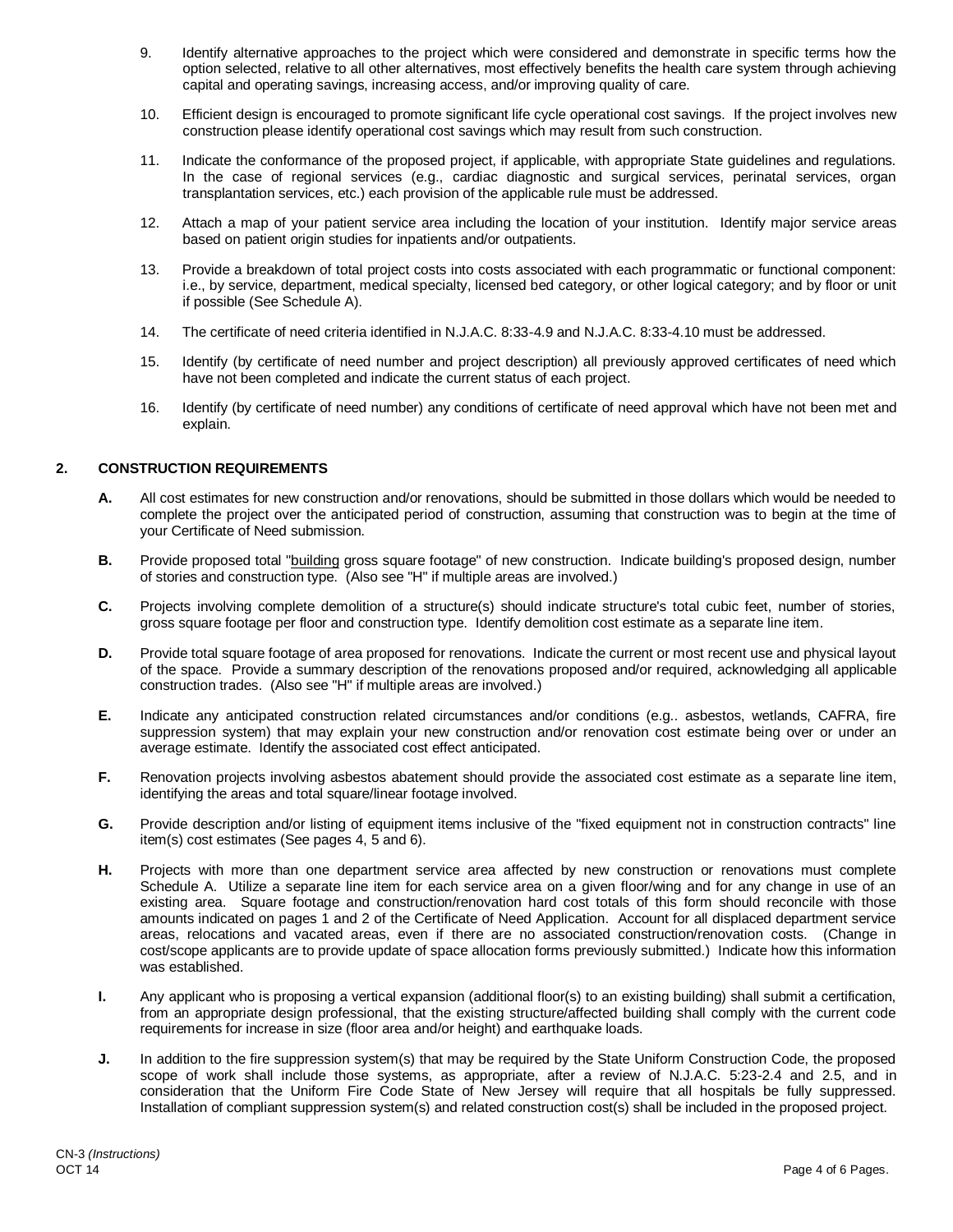- 9. Identify alternative approaches to the project which were considered and demonstrate in specific terms how the option selected, relative to all other alternatives, most effectively benefits the health care system through achieving capital and operating savings, increasing access, and/or improving quality of care.
- 10. Efficient design is encouraged to promote significant life cycle operational cost savings. If the project involves new construction please identify operational cost savings which may result from such construction.
- 11. Indicate the conformance of the proposed project, if applicable, with appropriate State guidelines and regulations. In the case of regional services (e.g., cardiac diagnostic and surgical services, perinatal services, organ transplantation services, etc.) each provision of the applicable rule must be addressed.
- 12. Attach a map of your patient service area including the location of your institution. Identify major service areas based on patient origin studies for inpatients and/or outpatients.
- 13. Provide a breakdown of total project costs into costs associated with each programmatic or functional component: i.e., by service, department, medical specialty, licensed bed category, or other logical category; and by floor or unit if possible (See Schedule A).
- 14. The certificate of need criteria identified in N.J.A.C. 8:33-4.9 and N.J.A.C. 8:33-4.10 must be addressed.
- 15. Identify (by certificate of need number and project description) all previously approved certificates of need which have not been completed and indicate the current status of each project.
- 16. Identify (by certificate of need number) any conditions of certificate of need approval which have not been met and explain.

### **2. CONSTRUCTION REQUIREMENTS**

- **A.** All cost estimates for new construction and/or renovations, should be submitted in those dollars which would be needed to complete the project over the anticipated period of construction, assuming that construction was to begin at the time of your Certificate of Need submission.
- **B.** Provide proposed total "building gross square footage" of new construction. Indicate building's proposed design, number of stories and construction type. (Also see "H" if multiple areas are involved.)
- **C.** Projects involving complete demolition of a structure(s) should indicate structure's total cubic feet, number of stories, gross square footage per floor and construction type. Identify demolition cost estimate as a separate line item.
- **D.** Provide total square footage of area proposed for renovations. Indicate the current or most recent use and physical layout of the space. Provide a summary description of the renovations proposed and/or required, acknowledging all applicable construction trades. (Also see "H" if multiple areas are involved.)
- **E.** Indicate any anticipated construction related circumstances and/or conditions (e.g.. asbestos, wetlands, CAFRA, fire suppression system) that may explain your new construction and/or renovation cost estimate being over or under an average estimate. Identify the associated cost effect anticipated.
- **F.** Renovation projects involving asbestos abatement should provide the associated cost estimate as a separate line item, identifying the areas and total square/linear footage involved.
- **G.** Provide description and/or listing of equipment items inclusive of the "fixed equipment not in construction contracts" line item(s) cost estimates (See pages 4, 5 and 6).
- **H.** Projects with more than one department service area affected by new construction or renovations must complete Schedule A. Utilize a separate line item for each service area on a given floor/wing and for any change in use of an existing area. Square footage and construction/renovation hard cost totals of this form should reconcile with those amounts indicated on pages 1 and 2 of the Certificate of Need Application. Account for all displaced department service areas, relocations and vacated areas, even if there are no associated construction/renovation costs. (Change in cost/scope applicants are to provide update of space allocation forms previously submitted.) Indicate how this information was established.
- **I.** Any applicant who is proposing a vertical expansion (additional floor(s) to an existing building) shall submit a certification, from an appropriate design professional, that the existing structure/affected building shall comply with the current code requirements for increase in size (floor area and/or height) and earthquake loads.
- **J.** In addition to the fire suppression system(s) that may be required by the State Uniform Construction Code, the proposed scope of work shall include those systems, as appropriate, after a review of N.J.A.C. 5:23-2.4 and 2.5, and in consideration that the Uniform Fire Code State of New Jersey will require that all hospitals be fully suppressed. Installation of compliant suppression system(s) and related construction cost(s) shall be included in the proposed project.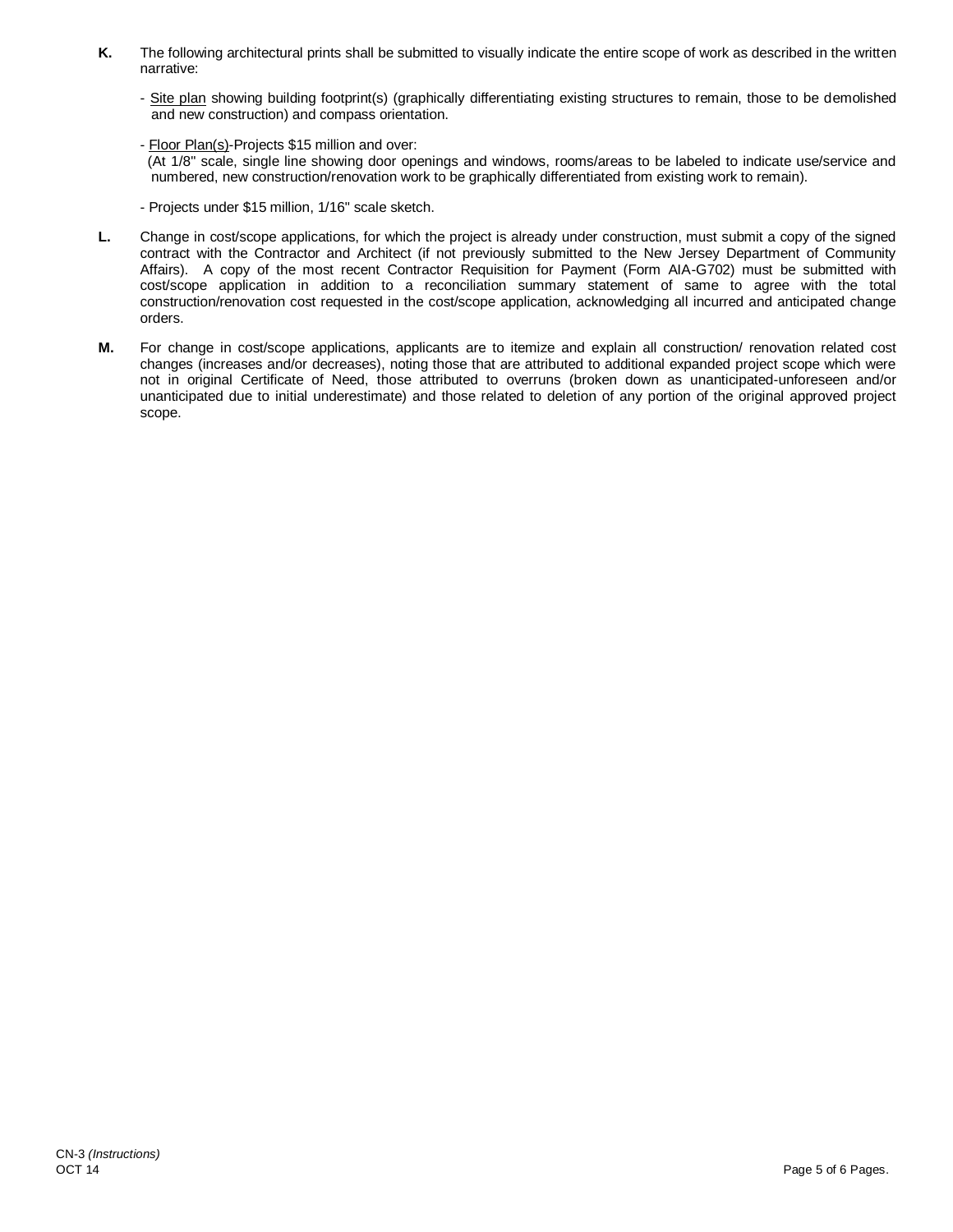- **K.** The following architectural prints shall be submitted to visually indicate the entire scope of work as described in the written narrative:
	- Site plan showing building footprint(s) (graphically differentiating existing structures to remain, those to be demolished and new construction) and compass orientation.
	- Floor Plan(s)-Projects \$15 million and over:

 (At 1/8" scale, single line showing door openings and windows, rooms/areas to be labeled to indicate use/service and numbered, new construction/renovation work to be graphically differentiated from existing work to remain).

- Projects under \$15 million, 1/16" scale sketch.

- **L.** Change in cost/scope applications, for which the project is already under construction, must submit a copy of the signed contract with the Contractor and Architect (if not previously submitted to the New Jersey Department of Community Affairs). A copy of the most recent Contractor Requisition for Payment (Form AIA-G702) must be submitted with cost/scope application in addition to a reconciliation summary statement of same to agree with the total construction/renovation cost requested in the cost/scope application, acknowledging all incurred and anticipated change orders.
- **M.** For change in cost/scope applications, applicants are to itemize and explain all construction/ renovation related cost changes (increases and/or decreases), noting those that are attributed to additional expanded project scope which were not in original Certificate of Need, those attributed to overruns (broken down as unanticipated-unforeseen and/or unanticipated due to initial underestimate) and those related to deletion of any portion of the original approved project scope.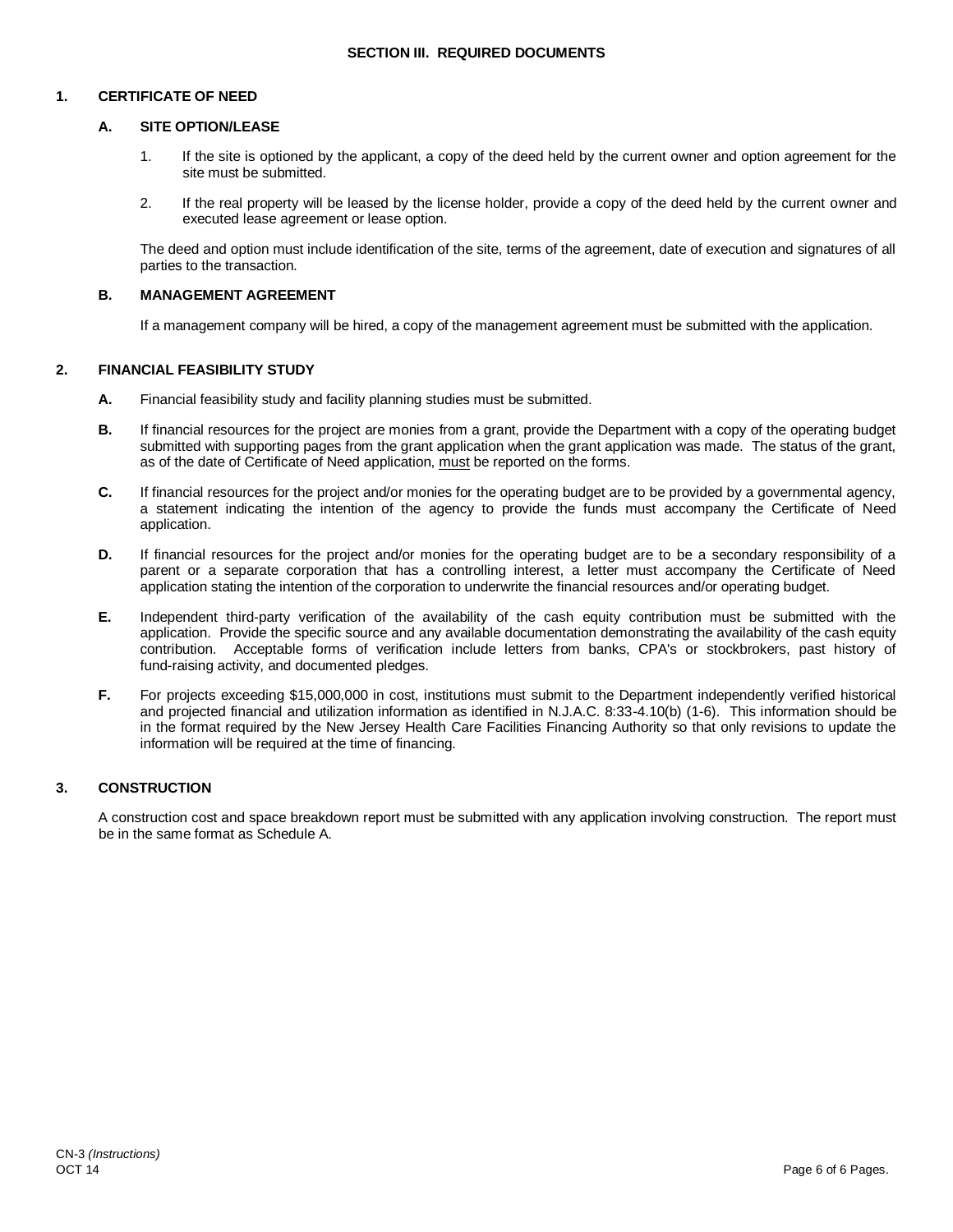### **SECTION III. REQUIRED DOCUMENTS**

### **1. CERTIFICATE OF NEED**

### **A. SITE OPTION/LEASE**

- 1. If the site is optioned by the applicant, a copy of the deed held by the current owner and option agreement for the site must be submitted.
- 2. If the real property will be leased by the license holder, provide a copy of the deed held by the current owner and executed lease agreement or lease option.

The deed and option must include identification of the site, terms of the agreement, date of execution and signatures of all parties to the transaction.

### **B. MANAGEMENT AGREEMENT**

If a management company will be hired, a copy of the management agreement must be submitted with the application.

### **2. FINANCIAL FEASIBILITY STUDY**

- **A.** Financial feasibility study and facility planning studies must be submitted.
- **B.** If financial resources for the project are monies from a grant, provide the Department with a copy of the operating budget submitted with supporting pages from the grant application when the grant application was made. The status of the grant, as of the date of Certificate of Need application, must be reported on the forms.
- **C.** If financial resources for the project and/or monies for the operating budget are to be provided by a governmental agency, a statement indicating the intention of the agency to provide the funds must accompany the Certificate of Need application.
- **D.** If financial resources for the project and/or monies for the operating budget are to be a secondary responsibility of a parent or a separate corporation that has a controlling interest, a letter must accompany the Certificate of Need application stating the intention of the corporation to underwrite the financial resources and/or operating budget.
- **E.** Independent third-party verification of the availability of the cash equity contribution must be submitted with the application. Provide the specific source and any available documentation demonstrating the availability of the cash equity contribution. Acceptable forms of verification include letters from banks, CPA's or stockbrokers, past history of fund-raising activity, and documented pledges.
- **F.** For projects exceeding \$15,000,000 in cost, institutions must submit to the Department independently verified historical and projected financial and utilization information as identified in N.J.A.C. 8:33-4.10(b) (1-6). This information should be in the format required by the New Jersey Health Care Facilities Financing Authority so that only revisions to update the information will be required at the time of financing.

### **3. CONSTRUCTION**

A construction cost and space breakdown report must be submitted with any application involving construction. The report must be in the same format as Schedule A.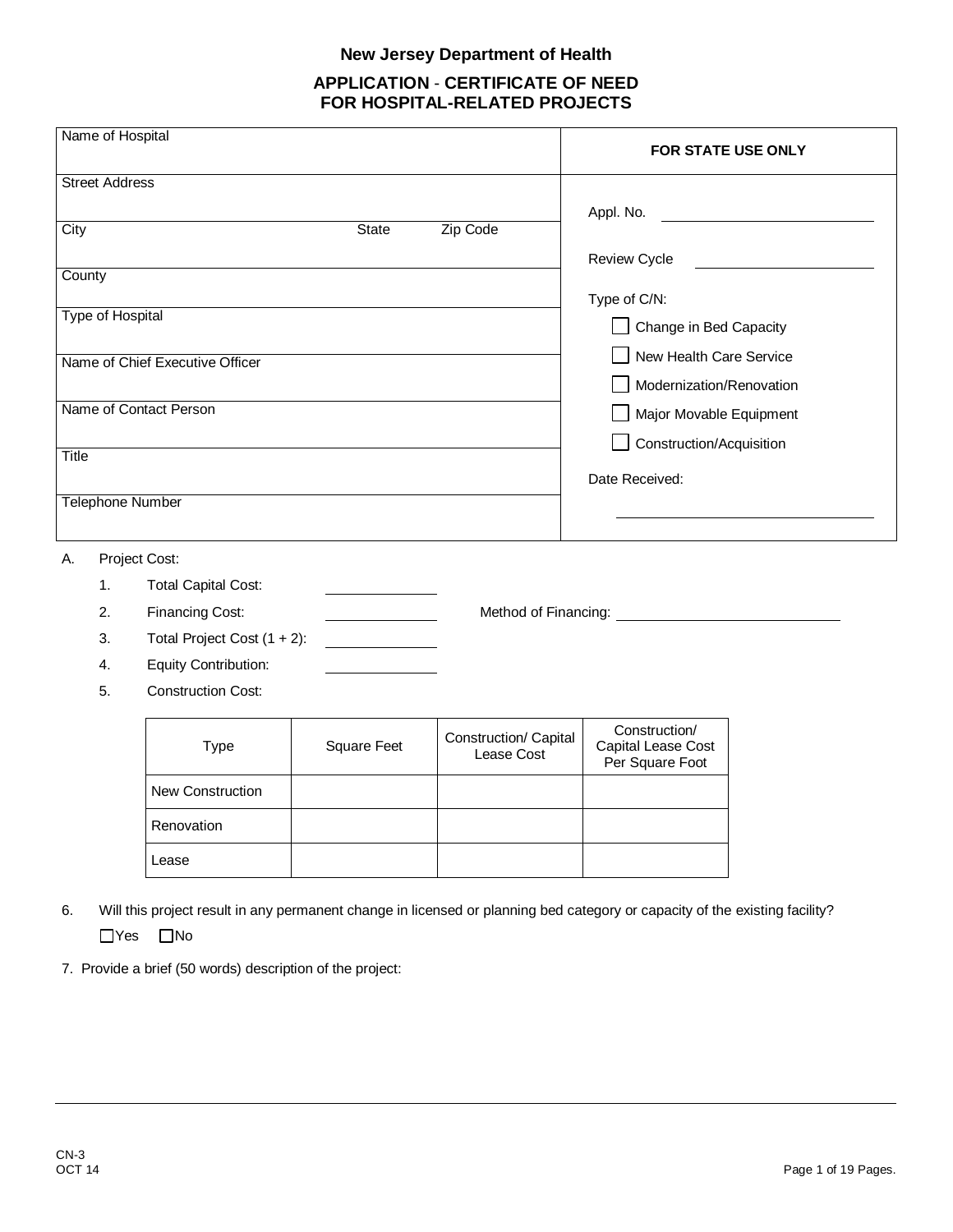# **New Jersey Department of Health**

# **APPLICATION** - **CERTIFICATE OF NEED FOR HOSPITAL-RELATED PROJECTS**

| Name of Hospital        |                                 |                                                                     |                                     | <b>FOR STATE USE ONLY</b>                                                                                          |  |  |
|-------------------------|---------------------------------|---------------------------------------------------------------------|-------------------------------------|--------------------------------------------------------------------------------------------------------------------|--|--|
| <b>Street Address</b>   |                                 |                                                                     |                                     |                                                                                                                    |  |  |
|                         |                                 |                                                                     |                                     | Appl. No.                                                                                                          |  |  |
| City                    |                                 | <b>State</b>                                                        | Zip Code                            |                                                                                                                    |  |  |
|                         |                                 |                                                                     |                                     | <b>Review Cycle</b>                                                                                                |  |  |
| County                  |                                 |                                                                     |                                     |                                                                                                                    |  |  |
| <b>Type of Hospital</b> |                                 |                                                                     |                                     | Type of C/N:                                                                                                       |  |  |
|                         |                                 |                                                                     |                                     | Change in Bed Capacity                                                                                             |  |  |
|                         | Name of Chief Executive Officer |                                                                     |                                     | New Health Care Service                                                                                            |  |  |
|                         |                                 |                                                                     |                                     | Modernization/Renovation                                                                                           |  |  |
| Name of Contact Person  |                                 |                                                                     |                                     | Major Movable Equipment                                                                                            |  |  |
|                         |                                 |                                                                     |                                     | Construction/Acquisition                                                                                           |  |  |
| <b>Title</b>            |                                 |                                                                     |                                     |                                                                                                                    |  |  |
|                         |                                 |                                                                     |                                     | Date Received:                                                                                                     |  |  |
| <b>Telephone Number</b> |                                 |                                                                     |                                     |                                                                                                                    |  |  |
|                         |                                 |                                                                     |                                     |                                                                                                                    |  |  |
| Project Cost:<br>А.     |                                 |                                                                     |                                     |                                                                                                                    |  |  |
| 1.                      | <b>Total Capital Cost:</b>      |                                                                     |                                     |                                                                                                                    |  |  |
| 2.                      | Financing Cost:                 |                                                                     |                                     | Method of Financing: Nethod Services and Services and Services and Services and Services and Services and Services |  |  |
| 3.                      | Total Project Cost $(1 + 2)$ :  | $\overline{\phantom{a}}$ . The contract of $\overline{\phantom{a}}$ |                                     |                                                                                                                    |  |  |
| 4.                      | Equity Contribution:            |                                                                     |                                     |                                                                                                                    |  |  |
| 5.                      | <b>Construction Cost:</b>       |                                                                     |                                     |                                                                                                                    |  |  |
|                         |                                 |                                                                     |                                     |                                                                                                                    |  |  |
|                         | Type                            | <b>Square Feet</b>                                                  | Construction/ Capital<br>Lease Cost | Construction/<br>Capital Lease Cost<br>Per Square Foot                                                             |  |  |
|                         | New Construction                |                                                                     |                                     |                                                                                                                    |  |  |
|                         | Renovation                      |                                                                     |                                     |                                                                                                                    |  |  |
|                         | Lease                           |                                                                     |                                     |                                                                                                                    |  |  |
|                         |                                 |                                                                     |                                     |                                                                                                                    |  |  |

- 6. Will this project result in any permanent change in licensed or planning bed category or capacity of the existing facility?  $\Box$ Yes  $\Box$ No
- 7. Provide a brief (50 words) description of the project: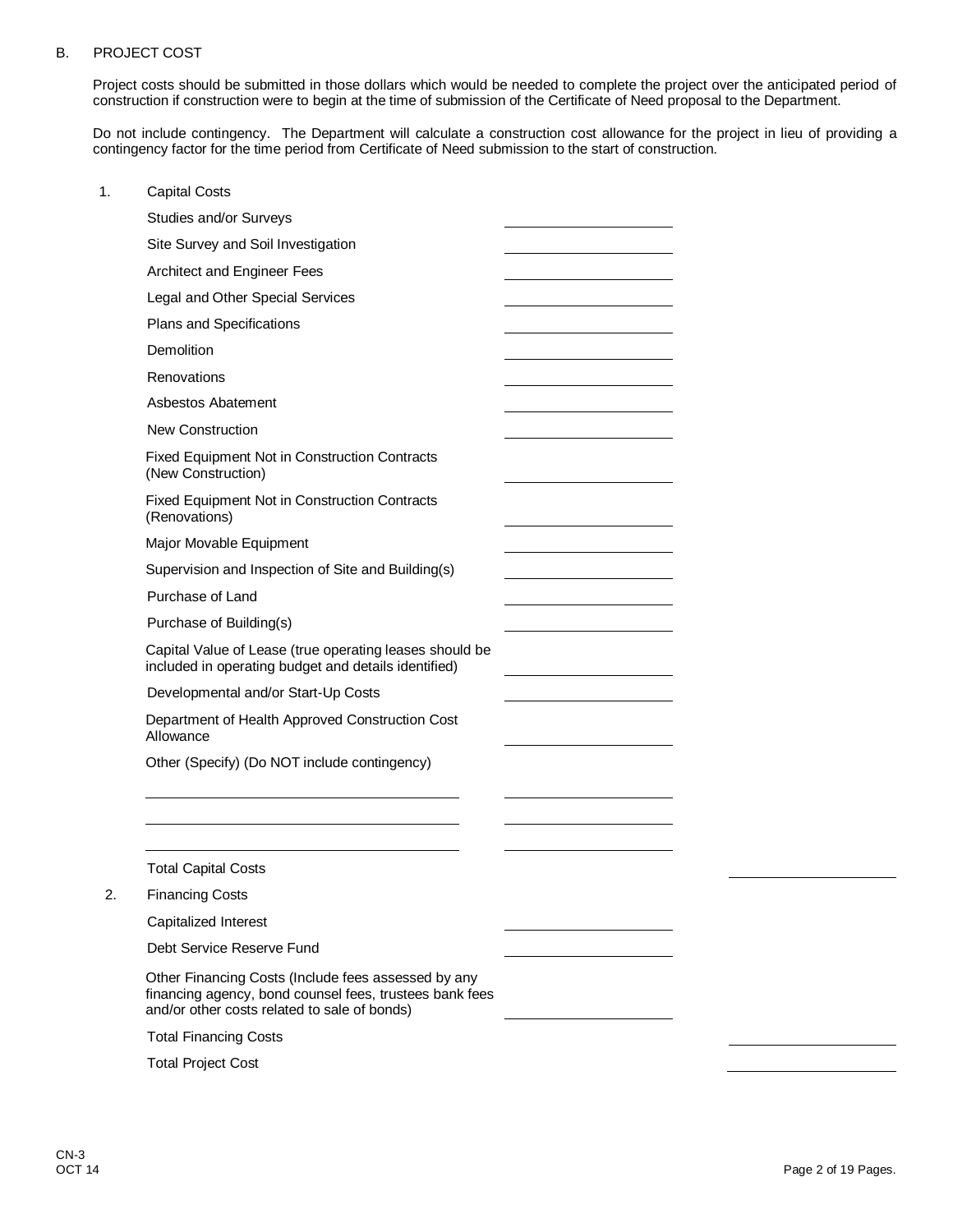## B. PROJECT COST

Project costs should be submitted in those dollars which would be needed to complete the project over the anticipated period of construction if construction were to begin at the time of submission of the Certificate of Need proposal to the Department.

Do not include contingency. The Department will calculate a construction cost allowance for the project in lieu of providing a contingency factor for the time period from Certificate of Need submission to the start of construction.

| 1. | <b>Capital Costs</b>                                                                                                                                           |  |
|----|----------------------------------------------------------------------------------------------------------------------------------------------------------------|--|
|    | Studies and/or Surveys                                                                                                                                         |  |
|    | Site Survey and Soil Investigation                                                                                                                             |  |
|    | Architect and Engineer Fees                                                                                                                                    |  |
|    | Legal and Other Special Services                                                                                                                               |  |
|    | Plans and Specifications                                                                                                                                       |  |
|    | Demolition                                                                                                                                                     |  |
|    | Renovations                                                                                                                                                    |  |
|    | <b>Asbestos Abatement</b>                                                                                                                                      |  |
|    | <b>New Construction</b>                                                                                                                                        |  |
|    | <b>Fixed Equipment Not in Construction Contracts</b><br>(New Construction)                                                                                     |  |
|    | Fixed Equipment Not in Construction Contracts<br>(Renovations)                                                                                                 |  |
|    | Major Movable Equipment                                                                                                                                        |  |
|    | Supervision and Inspection of Site and Building(s)                                                                                                             |  |
|    | Purchase of Land                                                                                                                                               |  |
|    | Purchase of Building(s)                                                                                                                                        |  |
|    | Capital Value of Lease (true operating leases should be<br>included in operating budget and details identified)                                                |  |
|    | Developmental and/or Start-Up Costs                                                                                                                            |  |
|    | Department of Health Approved Construction Cost<br>Allowance                                                                                                   |  |
|    | Other (Specify) (Do NOT include contingency)                                                                                                                   |  |
|    |                                                                                                                                                                |  |
|    |                                                                                                                                                                |  |
|    | <b>Total Capital Costs</b>                                                                                                                                     |  |
| 2. | <b>Financing Costs</b>                                                                                                                                         |  |
|    | Capitalized Interest                                                                                                                                           |  |
|    | Debt Service Reserve Fund                                                                                                                                      |  |
|    | Other Financing Costs (Include fees assessed by any<br>financing agency, bond counsel fees, trustees bank fees<br>and/or other costs related to sale of bonds) |  |
|    | <b>Total Financing Costs</b>                                                                                                                                   |  |
|    | <b>Total Project Cost</b>                                                                                                                                      |  |
|    |                                                                                                                                                                |  |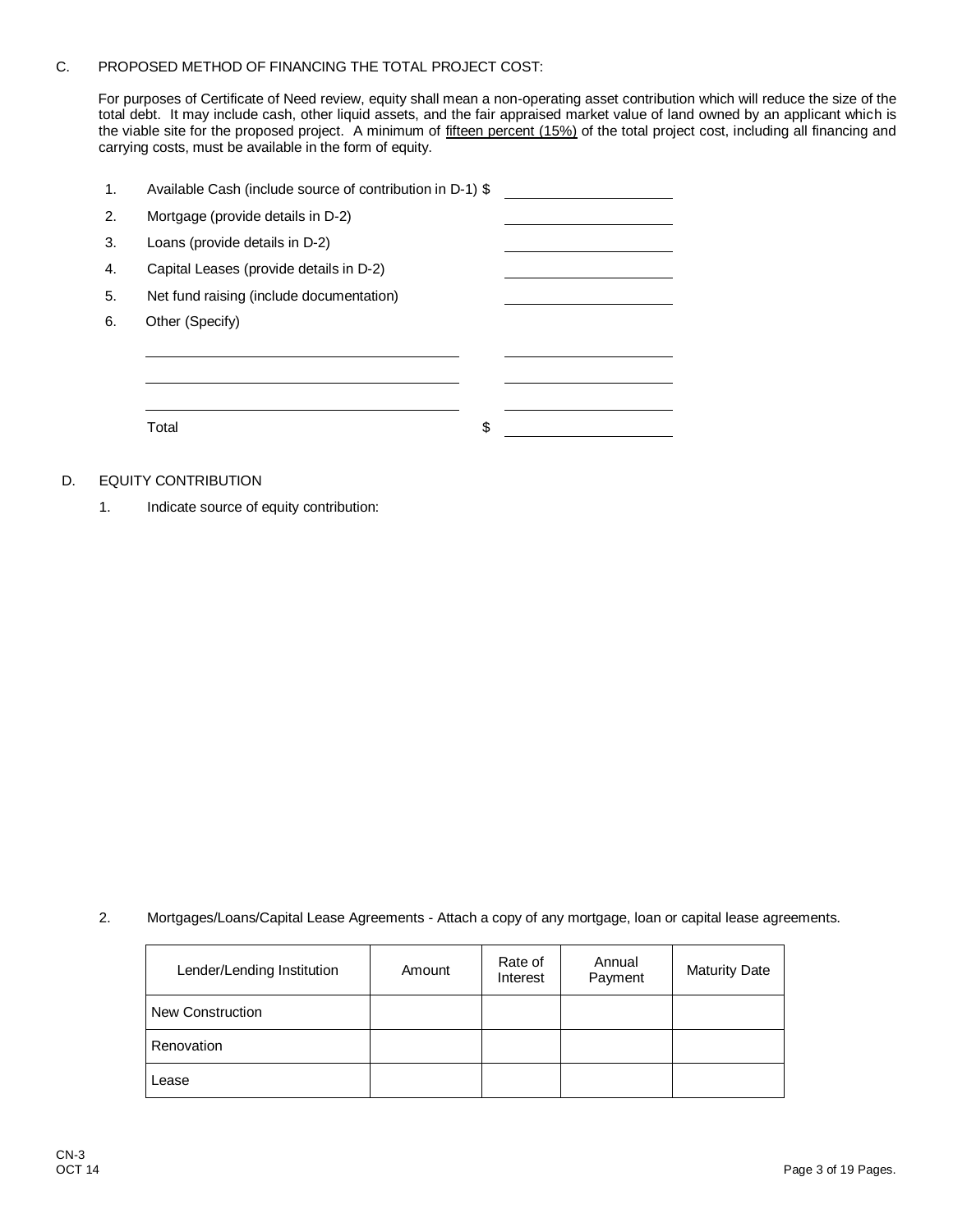### C. PROPOSED METHOD OF FINANCING THE TOTAL PROJECT COST:

For purposes of Certificate of Need review, equity shall mean a non-operating asset contribution which will reduce the size of the total debt. It may include cash, other liquid assets, and the fair appraised market value of land owned by an applicant which is the viable site for the proposed project. A minimum of <u>fifteen percent (15%)</u> of the total project cost, including all financing and carrying costs, must be available in the form of equity.

| 1. | Available Cash (include source of contribution in D-1) \$ |    |
|----|-----------------------------------------------------------|----|
| 2. | Mortgage (provide details in D-2)                         |    |
| 3. | Loans (provide details in D-2)                            |    |
| 4. | Capital Leases (provide details in D-2)                   |    |
| 5. | Net fund raising (include documentation)                  |    |
| 6. | Other (Specify)                                           |    |
|    |                                                           |    |
|    |                                                           |    |
|    |                                                           |    |
|    | Total                                                     | \$ |
|    |                                                           |    |

## D. EQUITY CONTRIBUTION

1. Indicate source of equity contribution:

2. Mortgages/Loans/Capital Lease Agreements - Attach a copy of any mortgage, loan or capital lease agreements.

| Lender/Lending Institution | Amount | Rate of<br>Interest | Annual<br>Payment | <b>Maturity Date</b> |
|----------------------------|--------|---------------------|-------------------|----------------------|
| New Construction           |        |                     |                   |                      |
| Renovation                 |        |                     |                   |                      |
| Lease                      |        |                     |                   |                      |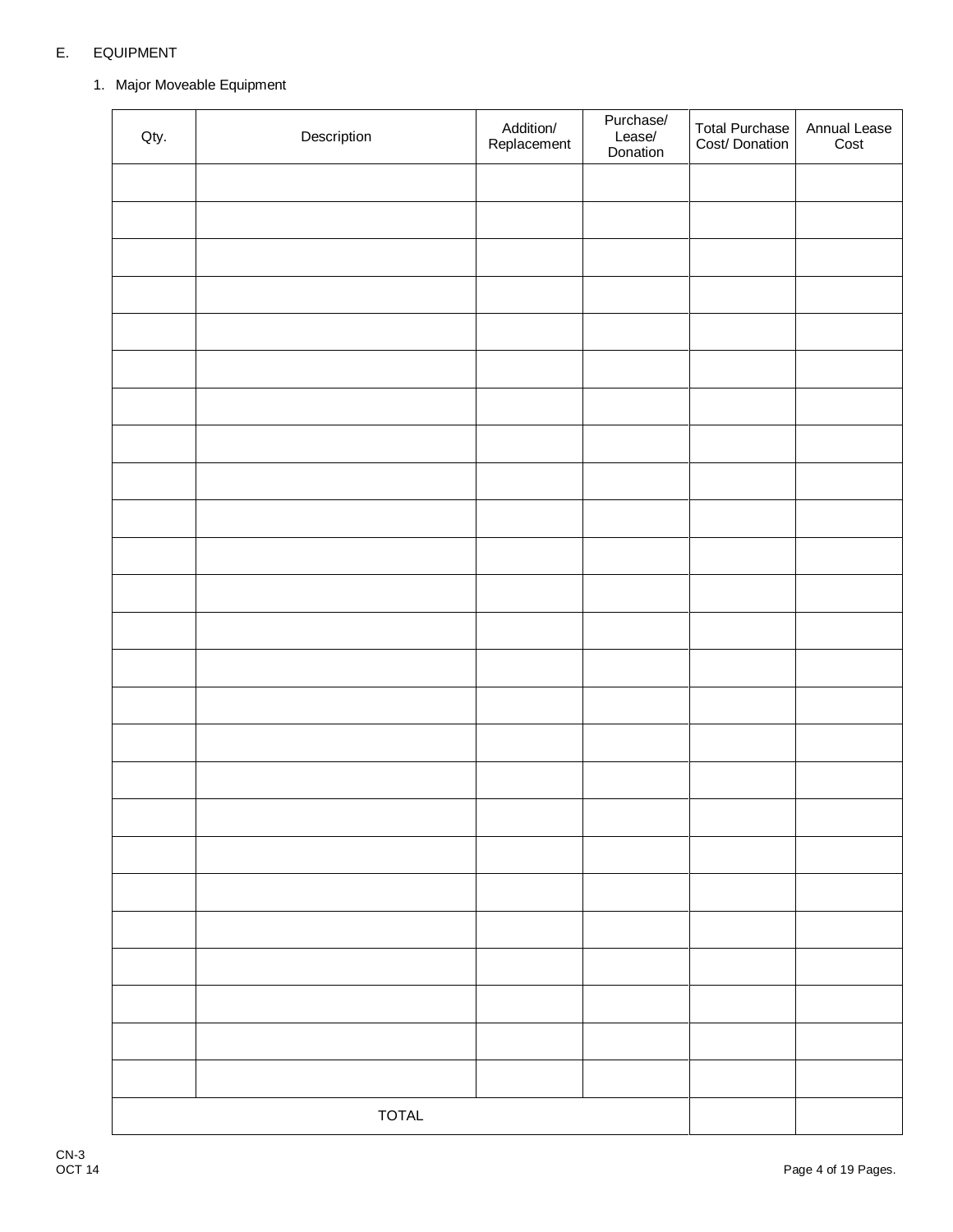# E. EQUIPMENT

# 1. Major Moveable Equipment

| Qty. | Description  | Addition/<br>Replacement | Purchase/<br>Lease/<br>Donation | Total Purchase<br>Cost/ Donation | Annual Lease<br>Cost |
|------|--------------|--------------------------|---------------------------------|----------------------------------|----------------------|
|      |              |                          |                                 |                                  |                      |
|      |              |                          |                                 |                                  |                      |
|      |              |                          |                                 |                                  |                      |
|      |              |                          |                                 |                                  |                      |
|      |              |                          |                                 |                                  |                      |
|      |              |                          |                                 |                                  |                      |
|      |              |                          |                                 |                                  |                      |
|      |              |                          |                                 |                                  |                      |
|      |              |                          |                                 |                                  |                      |
|      |              |                          |                                 |                                  |                      |
|      |              |                          |                                 |                                  |                      |
|      |              |                          |                                 |                                  |                      |
|      |              |                          |                                 |                                  |                      |
|      |              |                          |                                 |                                  |                      |
|      |              |                          |                                 |                                  |                      |
|      |              |                          |                                 |                                  |                      |
|      |              |                          |                                 |                                  |                      |
|      |              |                          |                                 |                                  |                      |
|      |              |                          |                                 |                                  |                      |
|      |              |                          |                                 |                                  |                      |
|      |              |                          |                                 |                                  |                      |
|      |              |                          |                                 |                                  |                      |
|      |              |                          |                                 |                                  |                      |
|      |              |                          |                                 |                                  |                      |
|      |              |                          |                                 |                                  |                      |
|      | <b>TOTAL</b> |                          |                                 |                                  |                      |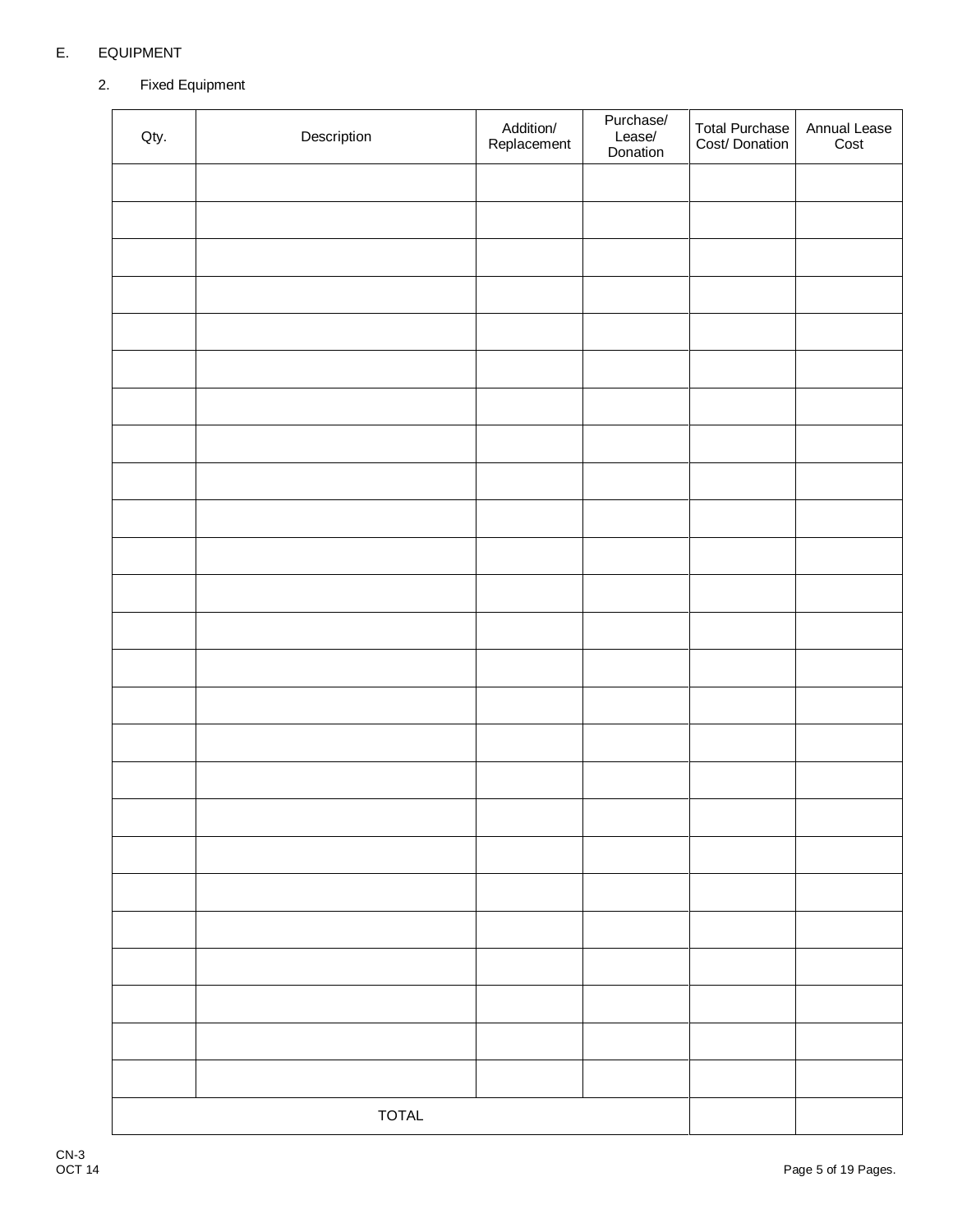# E. EQUIPMENT

# 2. Fixed Equipment

| Qty. | Description  | Addition/<br>Replacement | Purchase/<br>Lease/<br>Donation | Total Purchase<br>Cost/ Donation | Annual Lease<br>Cost |
|------|--------------|--------------------------|---------------------------------|----------------------------------|----------------------|
|      |              |                          |                                 |                                  |                      |
|      |              |                          |                                 |                                  |                      |
|      |              |                          |                                 |                                  |                      |
|      |              |                          |                                 |                                  |                      |
|      |              |                          |                                 |                                  |                      |
|      |              |                          |                                 |                                  |                      |
|      |              |                          |                                 |                                  |                      |
|      |              |                          |                                 |                                  |                      |
|      |              |                          |                                 |                                  |                      |
|      |              |                          |                                 |                                  |                      |
|      |              |                          |                                 |                                  |                      |
|      |              |                          |                                 |                                  |                      |
|      |              |                          |                                 |                                  |                      |
|      |              |                          |                                 |                                  |                      |
|      |              |                          |                                 |                                  |                      |
|      |              |                          |                                 |                                  |                      |
|      |              |                          |                                 |                                  |                      |
|      |              |                          |                                 |                                  |                      |
|      |              |                          |                                 |                                  |                      |
|      |              |                          |                                 |                                  |                      |
|      |              |                          |                                 |                                  |                      |
|      |              |                          |                                 |                                  |                      |
|      |              |                          |                                 |                                  |                      |
|      |              |                          |                                 |                                  |                      |
|      |              |                          |                                 |                                  |                      |
|      | <b>TOTAL</b> |                          |                                 |                                  |                      |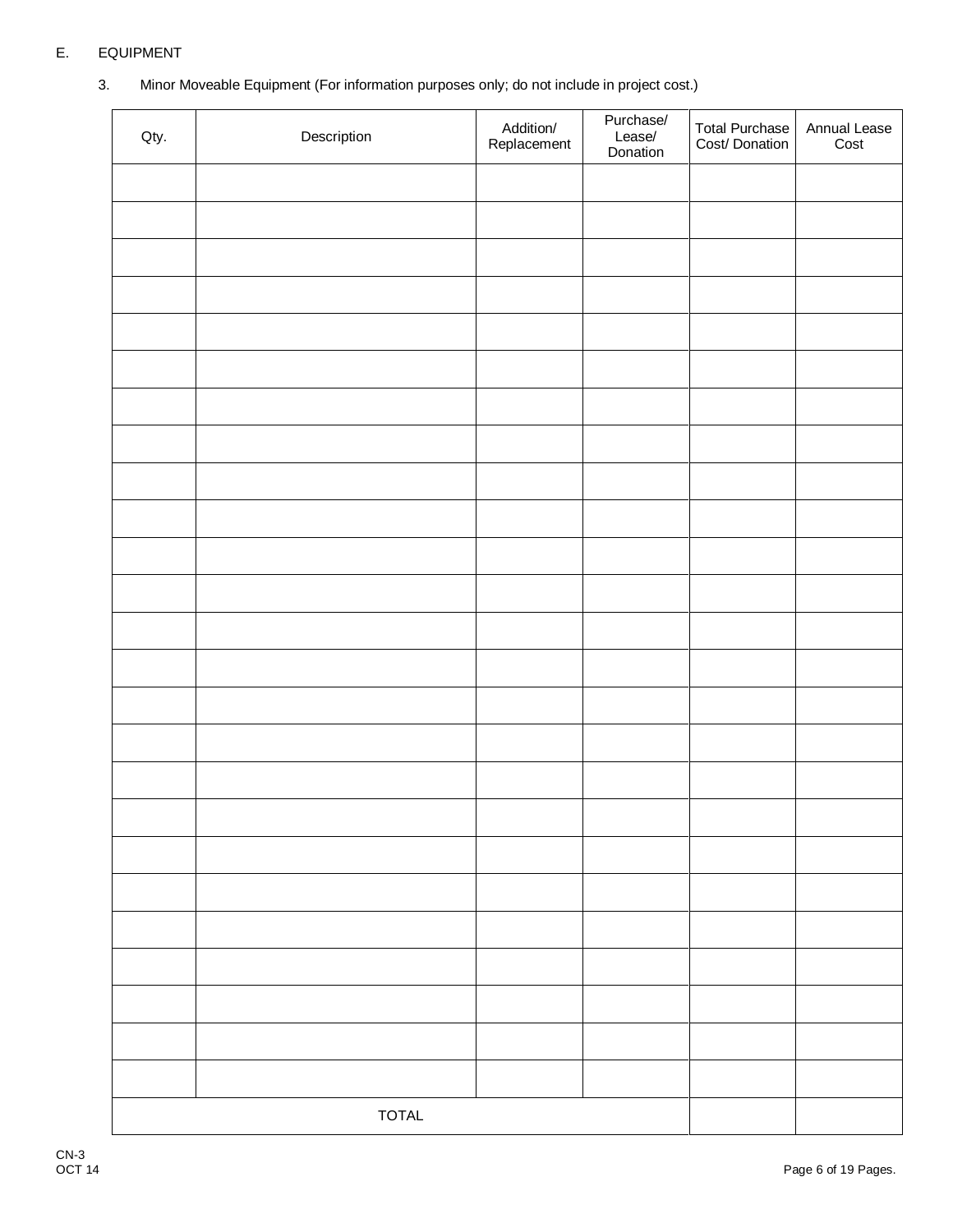# E. EQUIPMENT

3. Minor Moveable Equipment (For information purposes only; do not include in project cost.)

| Qty. | Description  | Addition/<br>Replacement | Purchase/<br>Lease/<br>Donation | Total Purchase<br>Cost/ Donation | Annual Lease<br>Cost |
|------|--------------|--------------------------|---------------------------------|----------------------------------|----------------------|
|      |              |                          |                                 |                                  |                      |
|      |              |                          |                                 |                                  |                      |
|      |              |                          |                                 |                                  |                      |
|      |              |                          |                                 |                                  |                      |
|      |              |                          |                                 |                                  |                      |
|      |              |                          |                                 |                                  |                      |
|      |              |                          |                                 |                                  |                      |
|      |              |                          |                                 |                                  |                      |
|      |              |                          |                                 |                                  |                      |
|      |              |                          |                                 |                                  |                      |
|      |              |                          |                                 |                                  |                      |
|      |              |                          |                                 |                                  |                      |
|      |              |                          |                                 |                                  |                      |
|      |              |                          |                                 |                                  |                      |
|      |              |                          |                                 |                                  |                      |
|      |              |                          |                                 |                                  |                      |
|      |              |                          |                                 |                                  |                      |
|      |              |                          |                                 |                                  |                      |
|      |              |                          |                                 |                                  |                      |
|      |              |                          |                                 |                                  |                      |
|      |              |                          |                                 |                                  |                      |
|      |              |                          |                                 |                                  |                      |
|      |              |                          |                                 |                                  |                      |
|      |              |                          |                                 |                                  |                      |
|      |              |                          |                                 |                                  |                      |
|      | <b>TOTAL</b> |                          |                                 |                                  |                      |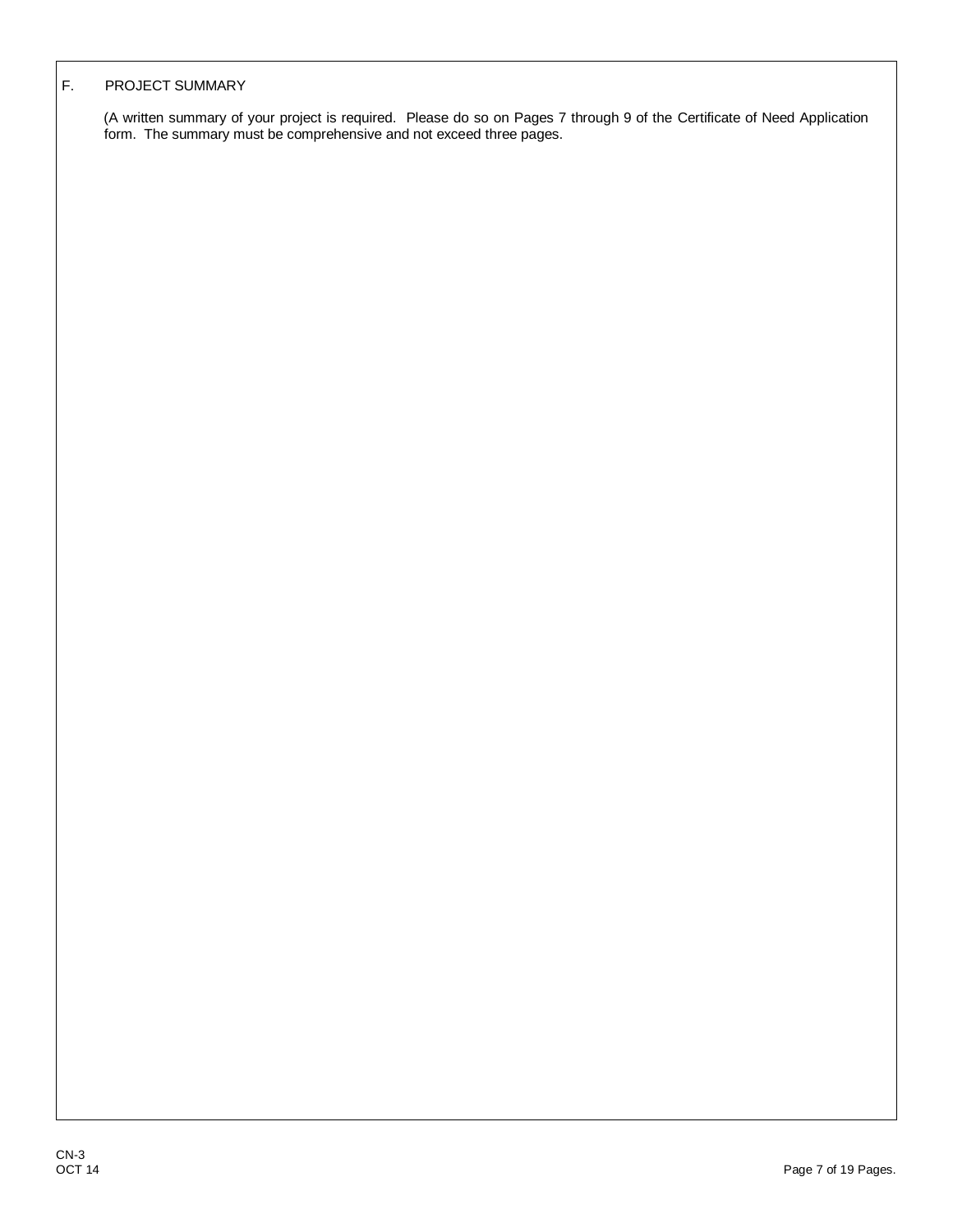### F. PROJECT SUMMARY

(A written summary of your project is required. Please do so on Pages 7 through 9 of the Certificate of Need Application form. The summary must be comprehensive and not exceed three pages.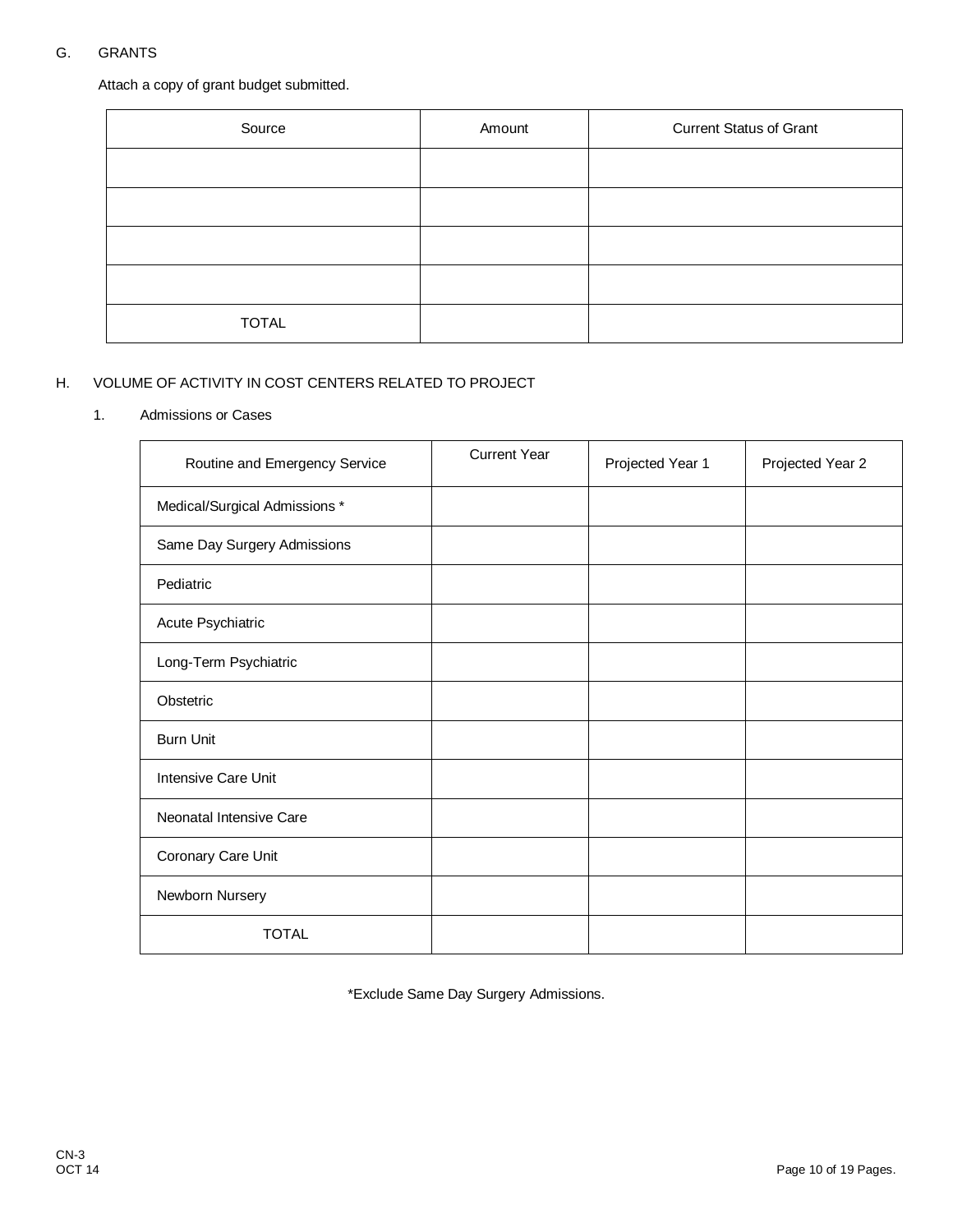# G. GRANTS

Attach a copy of grant budget submitted.

| Source       | Amount | <b>Current Status of Grant</b> |
|--------------|--------|--------------------------------|
|              |        |                                |
|              |        |                                |
|              |        |                                |
|              |        |                                |
| <b>TOTAL</b> |        |                                |

## H. VOLUME OF ACTIVITY IN COST CENTERS RELATED TO PROJECT

### 1. Admissions or Cases

| Routine and Emergency Service | <b>Current Year</b> | Projected Year 1 | Projected Year 2 |
|-------------------------------|---------------------|------------------|------------------|
| Medical/Surgical Admissions * |                     |                  |                  |
| Same Day Surgery Admissions   |                     |                  |                  |
| Pediatric                     |                     |                  |                  |
| Acute Psychiatric             |                     |                  |                  |
| Long-Term Psychiatric         |                     |                  |                  |
| Obstetric                     |                     |                  |                  |
| <b>Burn Unit</b>              |                     |                  |                  |
| <b>Intensive Care Unit</b>    |                     |                  |                  |
| Neonatal Intensive Care       |                     |                  |                  |
| Coronary Care Unit            |                     |                  |                  |
| Newborn Nursery               |                     |                  |                  |
| <b>TOTAL</b>                  |                     |                  |                  |

\*Exclude Same Day Surgery Admissions.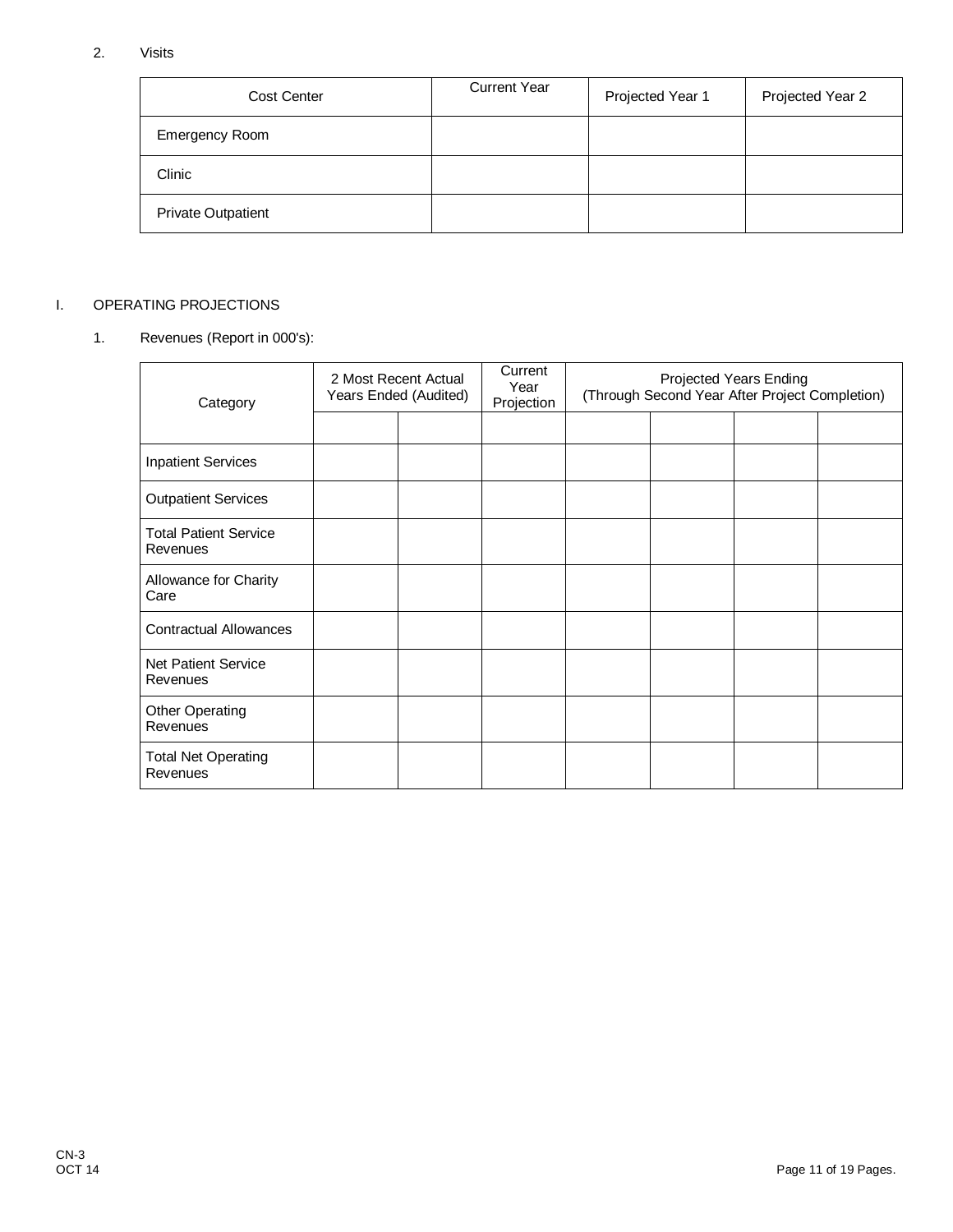# 2. Visits

| <b>Cost Center</b>        | <b>Current Year</b> | Projected Year 1 | Projected Year 2 |
|---------------------------|---------------------|------------------|------------------|
| <b>Emergency Room</b>     |                     |                  |                  |
| Clinic                    |                     |                  |                  |
| <b>Private Outpatient</b> |                     |                  |                  |

## I. OPERATING PROJECTIONS

## 1. Revenues (Report in 000's):

| Category                                 | 2 Most Recent Actual<br>Years Ended (Audited) | Current<br>Year<br>Projection | Projected Years Ending<br>(Through Second Year After Project Completion) |  |  |  |
|------------------------------------------|-----------------------------------------------|-------------------------------|--------------------------------------------------------------------------|--|--|--|
|                                          |                                               |                               |                                                                          |  |  |  |
| <b>Inpatient Services</b>                |                                               |                               |                                                                          |  |  |  |
| <b>Outpatient Services</b>               |                                               |                               |                                                                          |  |  |  |
| <b>Total Patient Service</b><br>Revenues |                                               |                               |                                                                          |  |  |  |
| Allowance for Charity<br>Care            |                                               |                               |                                                                          |  |  |  |
| <b>Contractual Allowances</b>            |                                               |                               |                                                                          |  |  |  |
| <b>Net Patient Service</b><br>Revenues   |                                               |                               |                                                                          |  |  |  |
| Other Operating<br>Revenues              |                                               |                               |                                                                          |  |  |  |
| <b>Total Net Operating</b><br>Revenues   |                                               |                               |                                                                          |  |  |  |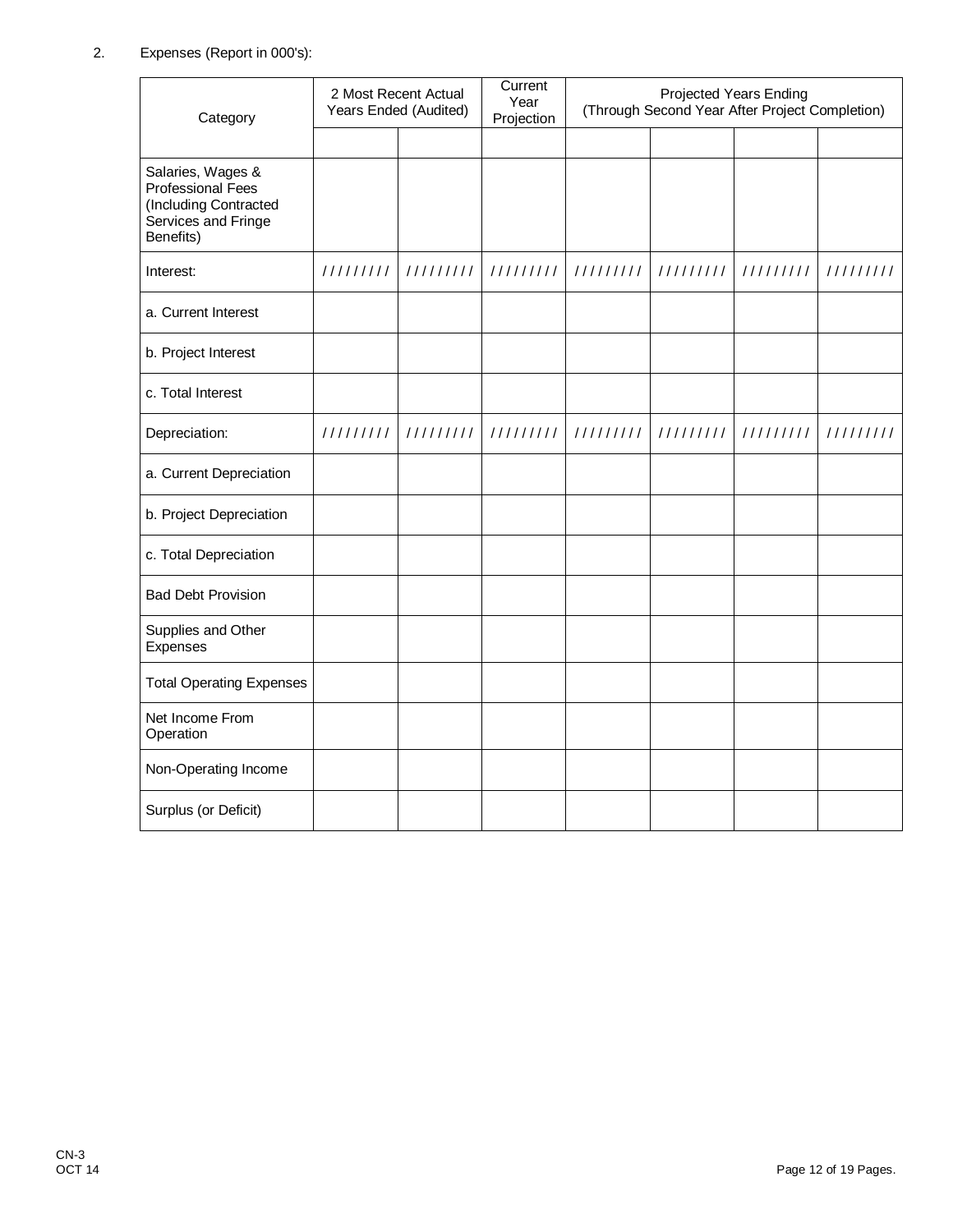# 2. Expenses (Report in 000's):

| Category                                                                                            |           | 2 Most Recent Actual<br>Years Ended (Audited) | Current<br>Year<br>Projection | <b>Projected Years Ending</b><br>(Through Second Year After Project Completion) |           |           |           |
|-----------------------------------------------------------------------------------------------------|-----------|-----------------------------------------------|-------------------------------|---------------------------------------------------------------------------------|-----------|-----------|-----------|
|                                                                                                     |           |                                               |                               |                                                                                 |           |           |           |
| Salaries, Wages &<br>Professional Fees<br>(Including Contracted<br>Services and Fringe<br>Benefits) |           |                                               |                               |                                                                                 |           |           |           |
| Interest:                                                                                           | 111111111 | 111111111                                     | 111111111                     | 111111111                                                                       | 111111111 | 111111111 | 111111111 |
| a. Current Interest                                                                                 |           |                                               |                               |                                                                                 |           |           |           |
| b. Project Interest                                                                                 |           |                                               |                               |                                                                                 |           |           |           |
| c. Total Interest                                                                                   |           |                                               |                               |                                                                                 |           |           |           |
| Depreciation:                                                                                       | 111111111 | 111111111                                     | 111111111                     | 111111111                                                                       | 111111111 | 111111111 | 111111111 |
| a. Current Depreciation                                                                             |           |                                               |                               |                                                                                 |           |           |           |
| b. Project Depreciation                                                                             |           |                                               |                               |                                                                                 |           |           |           |
| c. Total Depreciation                                                                               |           |                                               |                               |                                                                                 |           |           |           |
| <b>Bad Debt Provision</b>                                                                           |           |                                               |                               |                                                                                 |           |           |           |
| Supplies and Other<br>Expenses                                                                      |           |                                               |                               |                                                                                 |           |           |           |
| <b>Total Operating Expenses</b>                                                                     |           |                                               |                               |                                                                                 |           |           |           |
| Net Income From<br>Operation                                                                        |           |                                               |                               |                                                                                 |           |           |           |
| Non-Operating Income                                                                                |           |                                               |                               |                                                                                 |           |           |           |
| Surplus (or Deficit)                                                                                |           |                                               |                               |                                                                                 |           |           |           |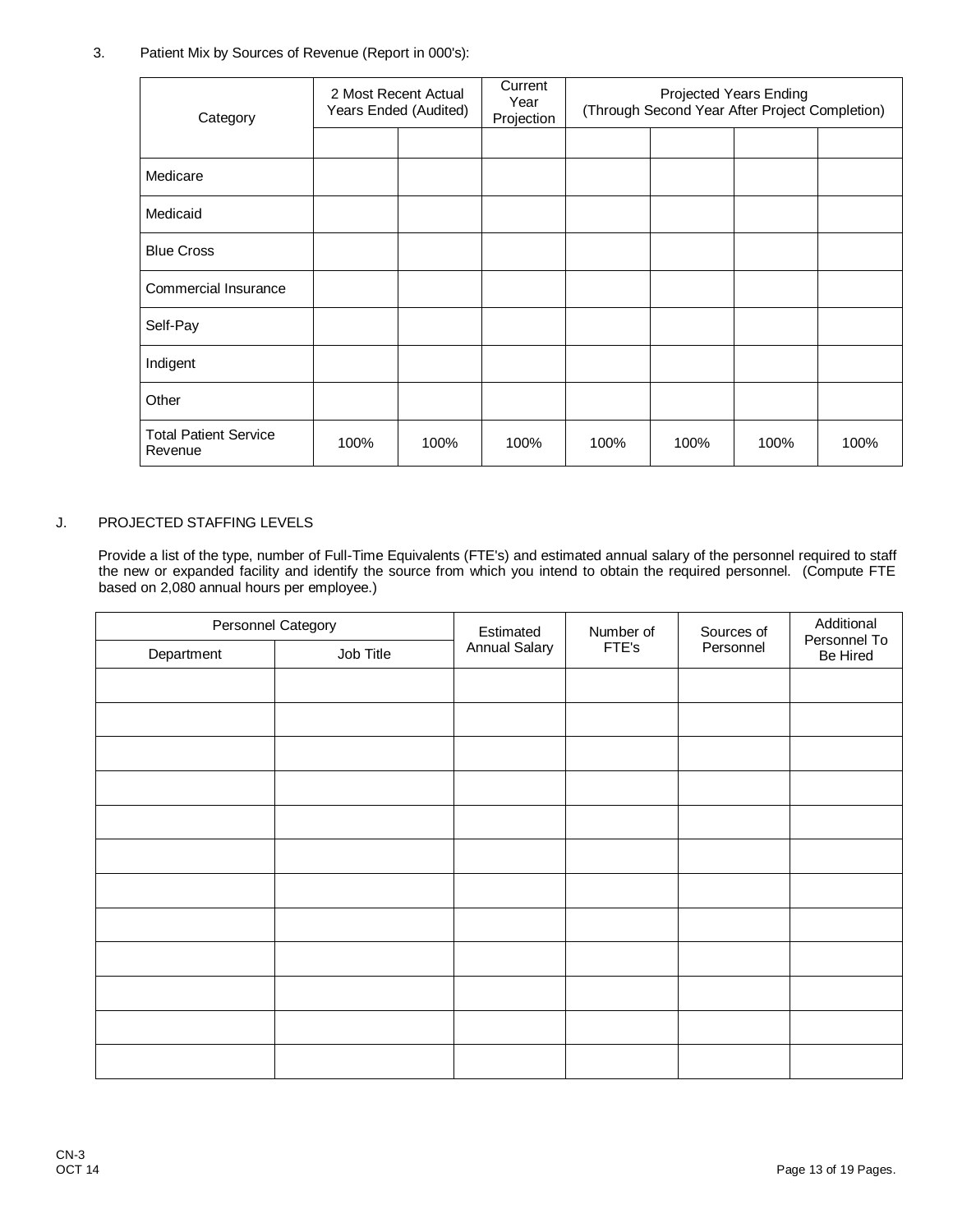## 3. Patient Mix by Sources of Revenue (Report in 000's):

| Category                                |      | 2 Most Recent Actual<br>Years Ended (Audited) | Current<br>Year<br>Projection | <b>Projected Years Ending</b><br>(Through Second Year After Project Completion) |      |      |      |
|-----------------------------------------|------|-----------------------------------------------|-------------------------------|---------------------------------------------------------------------------------|------|------|------|
|                                         |      |                                               |                               |                                                                                 |      |      |      |
| Medicare                                |      |                                               |                               |                                                                                 |      |      |      |
| Medicaid                                |      |                                               |                               |                                                                                 |      |      |      |
| <b>Blue Cross</b>                       |      |                                               |                               |                                                                                 |      |      |      |
| Commercial Insurance                    |      |                                               |                               |                                                                                 |      |      |      |
| Self-Pay                                |      |                                               |                               |                                                                                 |      |      |      |
| Indigent                                |      |                                               |                               |                                                                                 |      |      |      |
| Other                                   |      |                                               |                               |                                                                                 |      |      |      |
| <b>Total Patient Service</b><br>Revenue | 100% | 100%                                          | 100%                          | 100%                                                                            | 100% | 100% | 100% |

### J. PROJECTED STAFFING LEVELS

Provide a list of the type, number of Full-Time Equivalents (FTE's) and estimated annual salary of the personnel required to staff the new or expanded facility and identify the source from which you intend to obtain the required personnel. (Compute FTE based on 2,080 annual hours per employee.)

| Department | Personnel Category<br>Job Title | Estimated<br><b>Annual Salary</b> | Number of<br>FTE's | Sources of<br>Personnel | Additional<br>Personnel To<br>Be Hired |
|------------|---------------------------------|-----------------------------------|--------------------|-------------------------|----------------------------------------|
|            |                                 |                                   |                    |                         |                                        |
|            |                                 |                                   |                    |                         |                                        |
|            |                                 |                                   |                    |                         |                                        |
|            |                                 |                                   |                    |                         |                                        |
|            |                                 |                                   |                    |                         |                                        |
|            |                                 |                                   |                    |                         |                                        |
|            |                                 |                                   |                    |                         |                                        |
|            |                                 |                                   |                    |                         |                                        |
|            |                                 |                                   |                    |                         |                                        |
|            |                                 |                                   |                    |                         |                                        |
|            |                                 |                                   |                    |                         |                                        |
|            |                                 |                                   |                    |                         |                                        |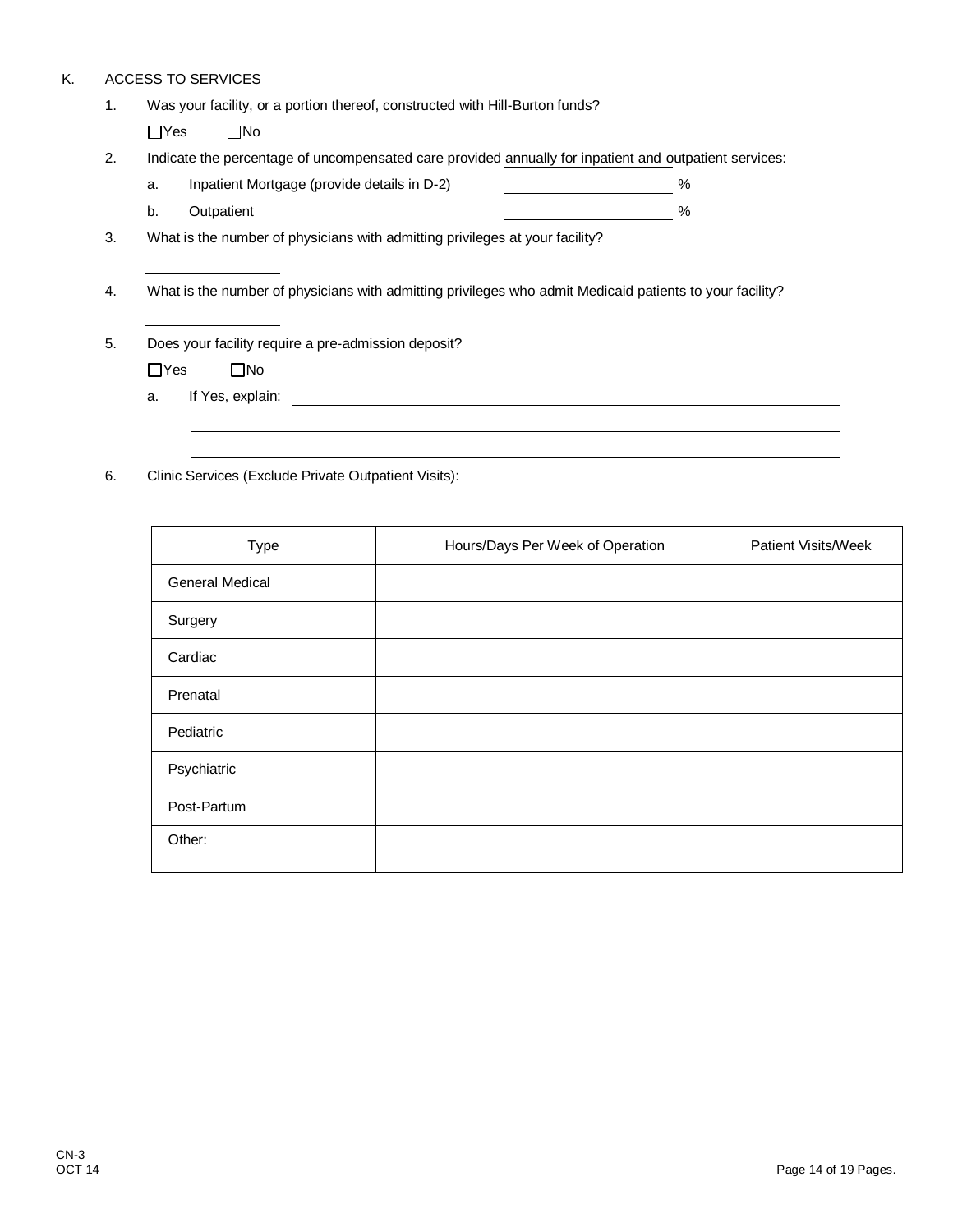## K. ACCESS TO SERVICES

| 1. | Was your facility, or a portion thereof, constructed with Hill-Burton funds?                             |   |  |  |  |
|----|----------------------------------------------------------------------------------------------------------|---|--|--|--|
|    | $\Box$ Yes<br>$\square$ No                                                                               |   |  |  |  |
| 2. | Indicate the percentage of uncompensated care provided annually for inpatient and outpatient services:   |   |  |  |  |
|    | Inpatient Mortgage (provide details in D-2)<br>a.                                                        | % |  |  |  |
|    | b.<br>Outpatient                                                                                         | % |  |  |  |
| 3. | What is the number of physicians with admitting privileges at your facility?                             |   |  |  |  |
|    |                                                                                                          |   |  |  |  |
| 4. | What is the number of physicians with admitting privileges who admit Medicaid patients to your facility? |   |  |  |  |
|    |                                                                                                          |   |  |  |  |
| 5. | Does your facility require a pre-admission deposit?                                                      |   |  |  |  |
|    | $\Box$ Yes<br>$\square$ No                                                                               |   |  |  |  |
|    | If Yes, explain:<br>a.                                                                                   |   |  |  |  |
|    |                                                                                                          |   |  |  |  |

6. Clinic Services (Exclude Private Outpatient Visits):

| Type                   | Hours/Days Per Week of Operation | <b>Patient Visits/Week</b> |
|------------------------|----------------------------------|----------------------------|
| <b>General Medical</b> |                                  |                            |
| Surgery                |                                  |                            |
| Cardiac                |                                  |                            |
| Prenatal               |                                  |                            |
| Pediatric              |                                  |                            |
| Psychiatric            |                                  |                            |
| Post-Partum            |                                  |                            |
| Other:                 |                                  |                            |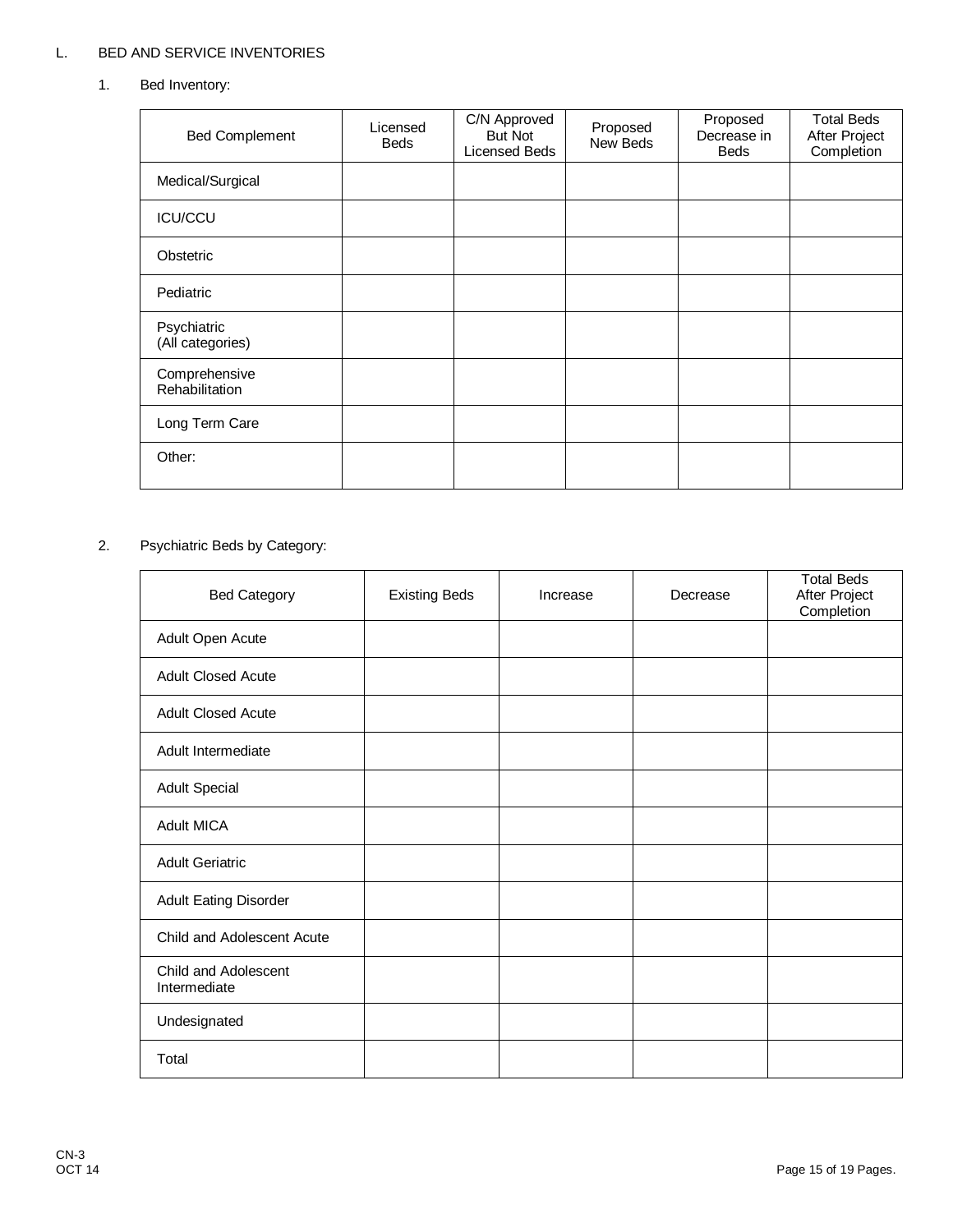# L. BED AND SERVICE INVENTORIES

1. Bed Inventory:

| <b>Bed Complement</b>           | Licensed<br>Beds | C/N Approved<br><b>But Not</b><br>Licensed Beds | Proposed<br>New Beds | Proposed<br>Decrease in<br><b>Beds</b> | <b>Total Beds</b><br>After Project<br>Completion |
|---------------------------------|------------------|-------------------------------------------------|----------------------|----------------------------------------|--------------------------------------------------|
| Medical/Surgical                |                  |                                                 |                      |                                        |                                                  |
| <b>ICU/CCU</b>                  |                  |                                                 |                      |                                        |                                                  |
| Obstetric                       |                  |                                                 |                      |                                        |                                                  |
| Pediatric                       |                  |                                                 |                      |                                        |                                                  |
| Psychiatric<br>(All categories) |                  |                                                 |                      |                                        |                                                  |
| Comprehensive<br>Rehabilitation |                  |                                                 |                      |                                        |                                                  |
| Long Term Care                  |                  |                                                 |                      |                                        |                                                  |
| Other:                          |                  |                                                 |                      |                                        |                                                  |

# 2. Psychiatric Beds by Category:

| <b>Bed Category</b>                  | <b>Existing Beds</b> | Increase | Decrease | <b>Total Beds</b><br>After Project<br>Completion |
|--------------------------------------|----------------------|----------|----------|--------------------------------------------------|
| Adult Open Acute                     |                      |          |          |                                                  |
| <b>Adult Closed Acute</b>            |                      |          |          |                                                  |
| <b>Adult Closed Acute</b>            |                      |          |          |                                                  |
| Adult Intermediate                   |                      |          |          |                                                  |
| <b>Adult Special</b>                 |                      |          |          |                                                  |
| <b>Adult MICA</b>                    |                      |          |          |                                                  |
| <b>Adult Geriatric</b>               |                      |          |          |                                                  |
| <b>Adult Eating Disorder</b>         |                      |          |          |                                                  |
| Child and Adolescent Acute           |                      |          |          |                                                  |
| Child and Adolescent<br>Intermediate |                      |          |          |                                                  |
| Undesignated                         |                      |          |          |                                                  |
| Total                                |                      |          |          |                                                  |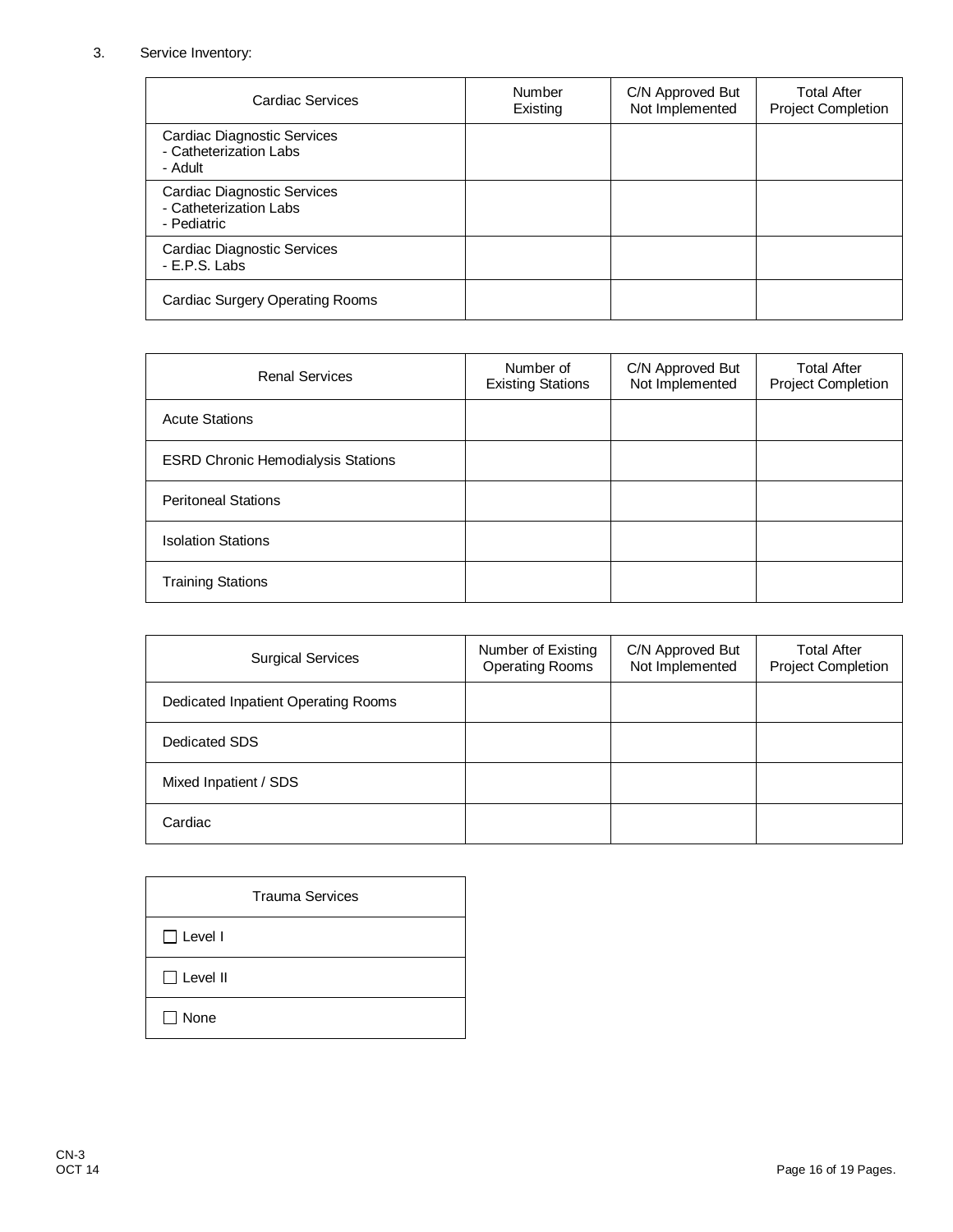## 3. Service Inventory:

| Cardiac Services                                                     | Number<br>Existing | C/N Approved But<br>Not Implemented | <b>Total After</b><br><b>Project Completion</b> |
|----------------------------------------------------------------------|--------------------|-------------------------------------|-------------------------------------------------|
| Cardiac Diagnostic Services<br>- Catheterization Labs<br>- Adult     |                    |                                     |                                                 |
| Cardiac Diagnostic Services<br>- Catheterization Labs<br>- Pediatric |                    |                                     |                                                 |
| <b>Cardiac Diagnostic Services</b><br>- E.P.S. Labs                  |                    |                                     |                                                 |
| <b>Cardiac Surgery Operating Rooms</b>                               |                    |                                     |                                                 |

| <b>Renal Services</b>                     | Number of<br><b>Existing Stations</b> | C/N Approved But<br>Not Implemented | <b>Total After</b><br><b>Project Completion</b> |
|-------------------------------------------|---------------------------------------|-------------------------------------|-------------------------------------------------|
| <b>Acute Stations</b>                     |                                       |                                     |                                                 |
| <b>ESRD Chronic Hemodialysis Stations</b> |                                       |                                     |                                                 |
| <b>Peritoneal Stations</b>                |                                       |                                     |                                                 |
| <b>Isolation Stations</b>                 |                                       |                                     |                                                 |
| <b>Training Stations</b>                  |                                       |                                     |                                                 |

| <b>Surgical Services</b>            | Number of Existing<br><b>Operating Rooms</b> | C/N Approved But<br>Not Implemented | <b>Total After</b><br><b>Project Completion</b> |
|-------------------------------------|----------------------------------------------|-------------------------------------|-------------------------------------------------|
| Dedicated Inpatient Operating Rooms |                                              |                                     |                                                 |
| Dedicated SDS                       |                                              |                                     |                                                 |
| Mixed Inpatient / SDS               |                                              |                                     |                                                 |
| Cardiac                             |                                              |                                     |                                                 |

|                 | <b>Trauma Services</b> |  |
|-----------------|------------------------|--|
| $\Box$ Level I  |                        |  |
| $\Box$ Level II |                        |  |
| None            |                        |  |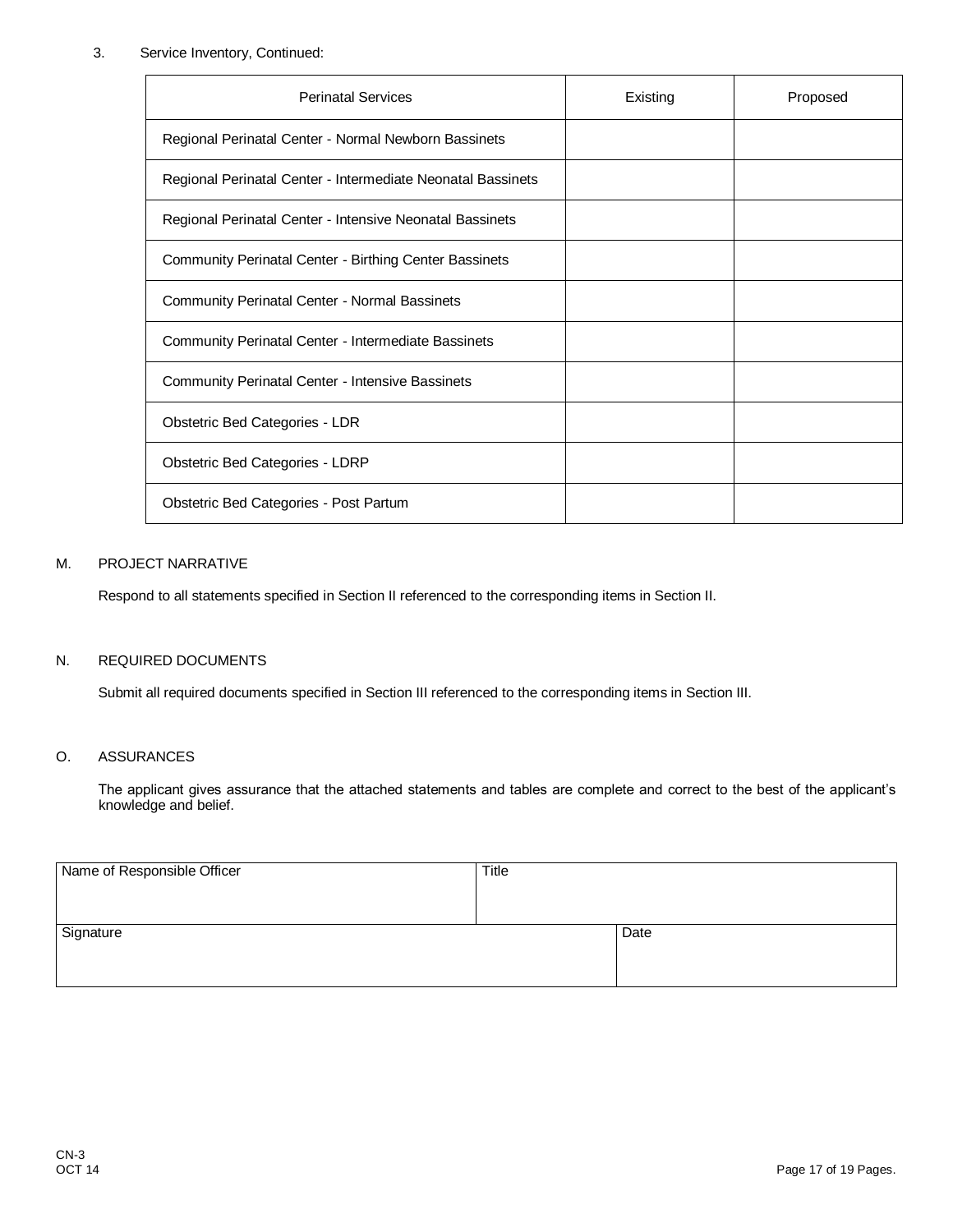## 3. Service Inventory, Continued:

| <b>Perinatal Services</b>                                   | Existing | Proposed |
|-------------------------------------------------------------|----------|----------|
| Regional Perinatal Center - Normal Newborn Bassinets        |          |          |
| Regional Perinatal Center - Intermediate Neonatal Bassinets |          |          |
| Regional Perinatal Center - Intensive Neonatal Bassinets    |          |          |
| Community Perinatal Center - Birthing Center Bassinets      |          |          |
| <b>Community Perinatal Center - Normal Bassinets</b>        |          |          |
| Community Perinatal Center - Intermediate Bassinets         |          |          |
| <b>Community Perinatal Center - Intensive Bassinets</b>     |          |          |
| Obstetric Bed Categories - LDR                              |          |          |
| Obstetric Bed Categories - LDRP                             |          |          |
| Obstetric Bed Categories - Post Partum                      |          |          |

#### M. PROJECT NARRATIVE

Respond to all statements specified in Section II referenced to the corresponding items in Section II.

### N. REQUIRED DOCUMENTS

Submit all required documents specified in Section III referenced to the corresponding items in Section III.

### O. ASSURANCES

The applicant gives assurance that the attached statements and tables are complete and correct to the best of the applicant's knowledge and belief.

| Name of Responsible Officer | <b>Title</b> |      |
|-----------------------------|--------------|------|
|                             |              |      |
| Signature                   |              | Date |
|                             |              |      |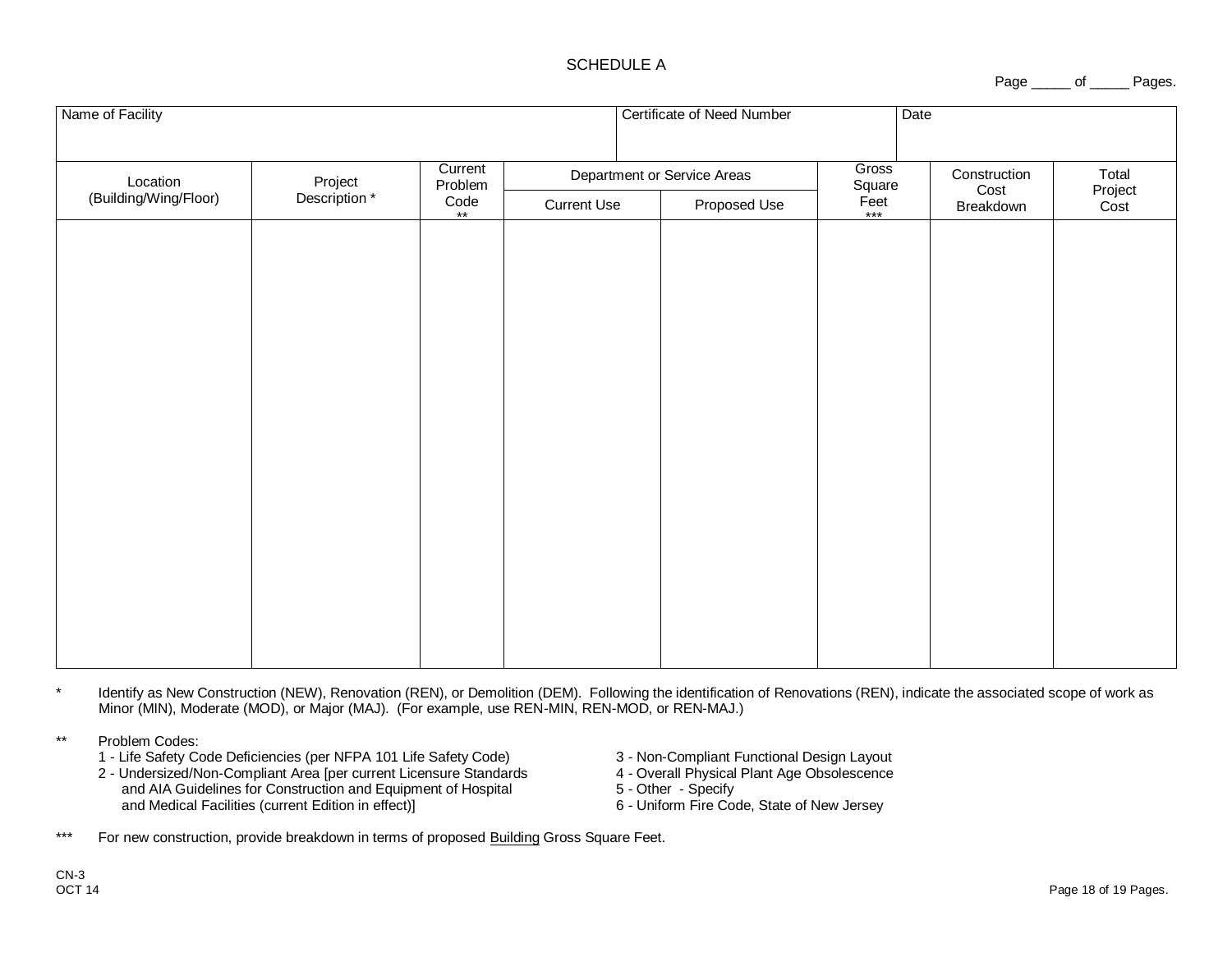## SCHEDULE A

Page \_\_\_\_\_ of \_\_\_\_\_ Pages.

| Name of Facility                  |                          |                                            |                             |  | Certificate of Need Number |                               | Date      |                 |
|-----------------------------------|--------------------------|--------------------------------------------|-----------------------------|--|----------------------------|-------------------------------|-----------|-----------------|
| Location<br>(Building/Wing/Floor) | Project<br>* Description | Current<br>Problem<br>Code<br>$\star\star$ | Department or Service Areas |  | Gross<br>Square            | Construction<br>Total<br>Cost |           |                 |
|                                   |                          |                                            | <b>Current Use</b>          |  | Proposed Use               | $F_{\text{eet}}$              | Breakdown | Project<br>Cost |
|                                   |                          |                                            |                             |  |                            |                               |           |                 |
|                                   |                          |                                            |                             |  |                            |                               |           |                 |
|                                   |                          |                                            |                             |  |                            |                               |           |                 |
|                                   |                          |                                            |                             |  |                            |                               |           |                 |
|                                   |                          |                                            |                             |  |                            |                               |           |                 |
|                                   |                          |                                            |                             |  |                            |                               |           |                 |
|                                   |                          |                                            |                             |  |                            |                               |           |                 |
|                                   |                          |                                            |                             |  |                            |                               |           |                 |
|                                   |                          |                                            |                             |  |                            |                               |           |                 |
|                                   |                          |                                            |                             |  |                            |                               |           |                 |
|                                   |                          |                                            |                             |  |                            |                               |           |                 |
|                                   |                          |                                            |                             |  |                            |                               |           |                 |
|                                   |                          |                                            |                             |  |                            |                               |           |                 |
|                                   |                          |                                            |                             |  |                            |                               |           |                 |

\* Identify as New Construction (NEW), Renovation (REN), or Demolition (DEM). Following the identification of Renovations (REN), indicate the associated scope of work as Minor (MIN), Moderate (MOD), or Major (MAJ). (For example, use REN-MIN, REN-MOD, or REN-MAJ.)

\*\* Problem Codes:

- 1 Life Safety Code Deficiencies (per NFPA 101 Life Safety Code) 3 Non-Compliant Functional Design Layout<br>2 Undersized/Non-Compliant Area [per current Licensure Standards 4 Overall Physical Plant Age Obsolescence
- 2 Undersized/Non-Compliant Area [per current Licensure Standards 4 Overall Physical and AIA Guidelines for Construction and Equipment of Hospital 5 Other Specify and AIA Guidelines for Construction and Equipment of Hospital 5 - Other - Specify<br>and Medical Facilities (current Edition in effect) **6** - Uniform Fire Code, State of New Jersey and Medical Facilities (current Edition in effect)]
- -
	-
	-

\*\*\* For new construction, provide breakdown in terms of proposed Building Gross Square Feet.